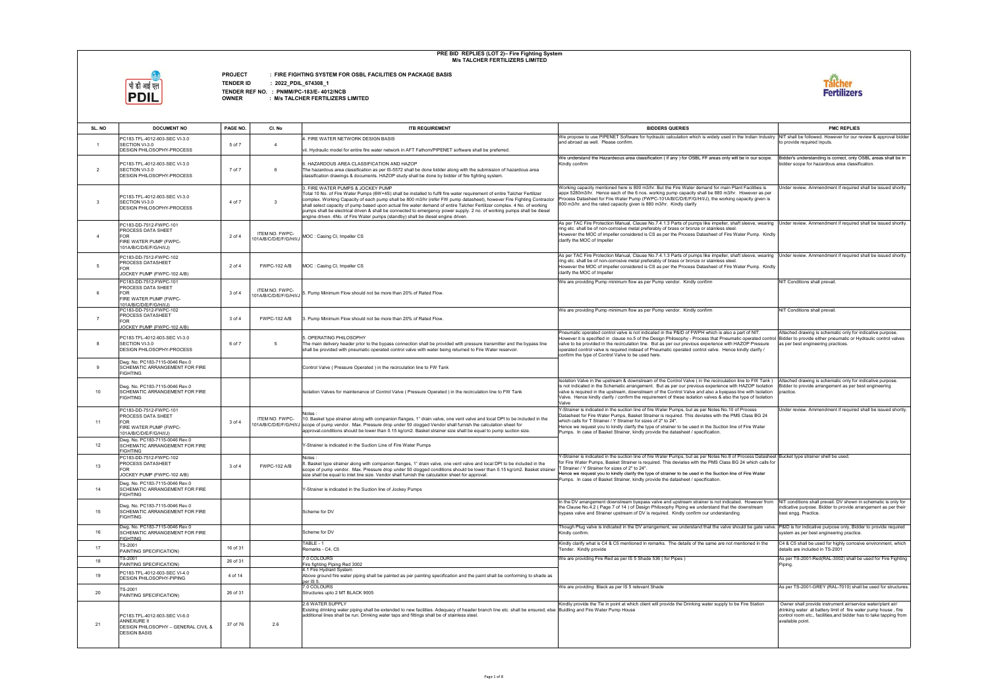

**PROJECT : FIRE FIGHTING SYSTEM FOR OSBL FACILITIES ON PACKAGE BASIS**

**TENDER ID : 2022\_PDIL\_674308\_1**

| SL. NO           | <b>DOCUMENT NO</b>                                                                                                | PAGE NO. | CI. No                                   | <b>ITB REQUIREMENT</b>                                                                                                                                                                                                                                                                                                                                                                                                                                                                                                                                                                                                             | <b>BIDDERS QUERIES</b>                                                                                                                                                                                                                                                                                                                                                                                                                                                                                                                                   | <b>PMC REPLIES</b>                                                                                                                                                                                                      |
|------------------|-------------------------------------------------------------------------------------------------------------------|----------|------------------------------------------|------------------------------------------------------------------------------------------------------------------------------------------------------------------------------------------------------------------------------------------------------------------------------------------------------------------------------------------------------------------------------------------------------------------------------------------------------------------------------------------------------------------------------------------------------------------------------------------------------------------------------------|----------------------------------------------------------------------------------------------------------------------------------------------------------------------------------------------------------------------------------------------------------------------------------------------------------------------------------------------------------------------------------------------------------------------------------------------------------------------------------------------------------------------------------------------------------|-------------------------------------------------------------------------------------------------------------------------------------------------------------------------------------------------------------------------|
|                  | PC183-TFL-4012-603-SEC VI-3.0                                                                                     |          |                                          | 4. FIRE WATER NETWORK DESIGN BASIS                                                                                                                                                                                                                                                                                                                                                                                                                                                                                                                                                                                                 | We propose to use PIPENET Software for hydraulic calculation which is widely used in the Indian Industry NIT shall be followed. However for our review & approval bidde<br>and abroad as well. Please confirm.                                                                                                                                                                                                                                                                                                                                           | to provide required inputs.                                                                                                                                                                                             |
|                  | SECTION VI-3.0<br>DESIGN PHILOSOPHY-PROCESS                                                                       | 5 of 7   | $\overline{4}$                           | vii. Hydraulic model for entire fire water network in AFT Fathom/PIPENET software shall be preferred.                                                                                                                                                                                                                                                                                                                                                                                                                                                                                                                              |                                                                                                                                                                                                                                                                                                                                                                                                                                                                                                                                                          |                                                                                                                                                                                                                         |
| $\overline{2}$   | PC183-TFL-4012-603-SEC VI-3.0<br>SECTION VI-3.0<br>DESIGN PHILOSOPHY-PROCESS                                      | 7 of 7   |                                          | 3. HAZARDOUS AREA CLASSIFICATION AND HAZOP<br>The hazardous area classification as per IS-5572 shall be done bidder along with the submission of hazardous area<br>classification drawings & documents. HAZOP study shall be done by bidder of fire fighting system.                                                                                                                                                                                                                                                                                                                                                               | We understand the Hazardeous area classification (if any ) for OSBL FF areas only will be in our scope.<br>Kindly confirm                                                                                                                                                                                                                                                                                                                                                                                                                                | Bidder's understanding is correct, only OSBL areas shall be in<br>bidder scope for hazardous area classification.                                                                                                       |
| $\mathbf{3}$     | PC183-TFL-4012-603-SEC VI-3.0<br>SECTION VI-3.0<br><b>DESIGN PHILOSOPHY-PROCESS</b>                               | 4 of 7   | -3                                       | 3. FIRE WATER PUMPS & JOCKEY PUMP<br>Total 10 No. of Fire Water Pumps (6W+4S) shall be installed to fulfil fire water requirement of entire Talcher Fertilizer<br>complex. Working Capacity of each pump shall be 800 m3/hr (refer FW pump datasheet), however Fire Fighting Contractor<br>shall select capacity of pump based upon actual fire water demand of entire Talcher Fertilizer complex. 4 No. of working<br>pumps shall be electrical driven & shall be connected to emergency power supply. 2 no. of working pumps shall be diesel<br>engine driven. 4No. of Fire Water pumps (standby) shall be diesel engine driven. | Working capacity mentioned here is 800 m3/hr. But the Fire Water demand for main Plant Facilities is<br>appx 5280m3/hr. Hence each of the 6 nos, working pump capacity shall be 880 m3/hr. However as per<br>Process Datasheet for Fire Water Pump (FWPC-101A/B/C/D/E/F/G/H/I/J), the working capacity given is<br>800 m3/hr. and the rated capacity given is 880 m3/hr. Kindly clarify                                                                                                                                                                  | Jnder review. Ammendment if required shall be issued shortly                                                                                                                                                            |
| $\overline{a}$   | PC183-DD-7512-FWPC-101<br>PROCESS DATA SHEET<br><b>FOR</b><br>FIRE WATER PUMP (FWPC-<br>101A/B/C/D/E/F/G/H/I/J)   | 2 of 4   | ITEM NO. FWPC-<br>101A/B/C/D/E/F/G/H/I/J | MOC: Casing CI, Impeller CS                                                                                                                                                                                                                                                                                                                                                                                                                                                                                                                                                                                                        | As per TAC Fire Protection Manual, Clause No.7.4.1.3 Parts of pumps like impeller, shaft sleeve, wearing Under review. Ammendment if required shall be issued shortly<br>ring etc. shall be of non-corrosive metal preferably of brass or bronze or stainless steel.<br>However the MOC of impeller considered is CS as per the Process Datasheet of Fire Water Pump. Kindly<br>clarify the MOC of Impeller                                                                                                                                              |                                                                                                                                                                                                                         |
|                  | PC183-DD-7512-FWPC-102<br>PROCESS DATASHEET<br><b>FOR</b><br>JOCKEY PUMP (FWPC-102 A/B)                           | 2 of 4   | <b>FWPC-102 A/B</b>                      | MOC: Casing CI, Impeller CS                                                                                                                                                                                                                                                                                                                                                                                                                                                                                                                                                                                                        | As per TAC Fire Protection Manual, Clause No.7.4.1.3 Parts of pumps like impeller, shaft sleeve, wearing Under review. Ammendment if required shall be issued shortly<br>ring etc. shall be of non-corrosive metal preferably of brass or bronze or stainless steel.<br>However the MOC of impeller considered is CS as per the Process Datasheet of Fire Water Pump. Kindly<br>clarify the MOC of Impeller                                                                                                                                              |                                                                                                                                                                                                                         |
|                  | PC183-DD-7512-FWPC-101<br>PROCESS DATA SHEET<br><b>FOR</b><br>FIRE WATER PUMP (FWPC-<br>101A/B/C/D/E/F/G/H/I/J)   | 3 of 4   | ITEM NO. FWPC-<br>101A/B/C/D/E/F/G/H/I/J | 5. Pump Minimum Flow should not be more than 20% of Rated Flow.                                                                                                                                                                                                                                                                                                                                                                                                                                                                                                                                                                    | We are providing Pump minimum flow as per Pump vendor. Kindly confirm                                                                                                                                                                                                                                                                                                                                                                                                                                                                                    | NIT Conditions shall prevail.                                                                                                                                                                                           |
| $\overline{7}$   | PC183-DD-7512-FWPC-102<br>PROCESS DATASHEET<br><b>FOR</b><br>JOCKEY PUMP (FWPC-102 A/B)                           | 3 of 4   | <b>FWPC-102 A/B</b>                      | 3. Pump Minimum Flow should not be more than 20% of Rated Flow.                                                                                                                                                                                                                                                                                                                                                                                                                                                                                                                                                                    | We are providing Pump minimum flow as per Pump vendor. Kindly confirm                                                                                                                                                                                                                                                                                                                                                                                                                                                                                    | NIT Conditions shall prevail.                                                                                                                                                                                           |
|                  | PC183-TFL-4012-603-SEC VI-3.0<br>SECTION VI-3.0<br><b>DESIGN PHILOSOPHY-PROCESS</b>                               | 6 of 7   |                                          | 5. OPERATING PHILOSOPHY<br>The main delivery header prior to the bypass connection shall be provided with pressure transmitter and the bypass line<br>shall be provided with pneumatic operated control valve with water being returned to Fire Water reservoir.                                                                                                                                                                                                                                                                                                                                                                   | Pneumatic operated control valve is not indicated in the P&ID of FWPH which is also a part of NIT.<br>However it is specified in clause no.5 of the Design Philosophy - Process that Pneumatic operated control Bidder to provide either pneumatic or Hydraulic control valves<br>valve to be provided in the recirculation line. But as per our previous experience with HAZOP Pressure<br>operated control valve is required instead of Pneumatic operated control valve. Hence kindly clarify /<br>confirm the type of Control Valve to be used here. | Attached drawing is schematic only for indicative purpose.<br>as per best engineering practices.                                                                                                                        |
|                  | Dwg. No. PC183-7115-0046 Rev.0<br>SCHEMATIC ARRANGEMENT FOR FIRE<br><b>FIGHTING</b>                               |          |                                          | Control Valve (Pressure Operated) in the recirculation line to FW Tank                                                                                                                                                                                                                                                                                                                                                                                                                                                                                                                                                             |                                                                                                                                                                                                                                                                                                                                                                                                                                                                                                                                                          |                                                                                                                                                                                                                         |
| 10 <sup>10</sup> | Dwg. No. PC183-7115-0046 Rev.0<br>SCHEMATIC ARRANGEMENT FOR FIRE<br><b>FIGHTING</b>                               |          |                                          | Isolation Valves for maintenance of Control Valve ( Pressure Operated ) in the recirculation line to FW Tank                                                                                                                                                                                                                                                                                                                                                                                                                                                                                                                       | Isolation Valve in the upstream & downstream of the Control Valve (in the recirculation line to FW Tank)<br>is not indicated in the Schematic arrangement. But as per our previous experience with HAZOP Isolation<br>valve is required in the upstream, downstream of the Control Valve and also a byepass line with Isolation<br>Valve. Hence kindly clarify / confirm the requirement of these isolation valves & also the type of Isolation<br>Valve                                                                                                 | Attached drawing is schematic only for indicative purpose.<br>Bidder to provide arrangement as per best engineering<br>practice.                                                                                        |
| 11               | PC183-DD-7512-FWPC-101<br>PROCESS DATA SHEET<br><b>FOR</b><br>FIRE WATER PUMP (FWPC-<br>101A/B/C/D/E/F/G/H/I/J)   | 3 of 4   | ITEM NO. FWPC-                           | Notes:<br>10. Basket type strainer along with companion flanges, 1" drain valve, one vent valve and local DPI to be included in the<br>101A/B/C/D/E/F/G/H/I/J scope of pump vendor. Max. Pressure drop under 50 clogged Vendor shall furnish the calculation sheet for<br>approval.conditions should be lower than 0.15 kg/cm2. Basket strainer size shall be equal to pump suction size.                                                                                                                                                                                                                                          | Y-Strainer is indicated in the suction line of fire Water Pumps, but as per Notes No.10 of Process<br>Datasheet for Fire Water Pumps, Basket Strainer is required. This deviates with the PMS Class BG 24<br>which calls for T Strainer / Y Strainer for sizes of 2" to 24".<br>Hence we request you to kindly clarify the type of strainer to be used in the Suction line of Fire Water<br>Pumps. In case of Basket Strainer, kindly provide the datasheet / specification.                                                                             | Jnder review. Ammendment if required shall be issued shortly                                                                                                                                                            |
| 12               | Dwg. No. PC183-7115-0046 Rev.0<br>SCHEMATIC ARRANGEMENT FOR FIRE<br><b>FIGHTING</b>                               |          |                                          | Y-Strainer is indicated in the Suction Line of Fire Water Pumps                                                                                                                                                                                                                                                                                                                                                                                                                                                                                                                                                                    |                                                                                                                                                                                                                                                                                                                                                                                                                                                                                                                                                          |                                                                                                                                                                                                                         |
| 13               | PC183-DD-7512-FWPC-102<br>PROCESS DATASHEET<br><b>FOR</b><br>JOCKEY PUMP (FWPC-102 A/B)                           | 3 of 4   | <b>FWPC-102 A/B</b>                      | 3. Basket type strainer along with companion flanges, 1" drain valve, one vent valve and local DPI to be included in the<br>scope of pump vendor. Max. Pressure drop under 50 clogged conditions should be lower than 0.15 kg/cm2. Basket strainer<br>size shall be equal to inlet line size. Vendor shall furnish the calculation sheet for approval.                                                                                                                                                                                                                                                                             | Y-Strainer is indicated in the suction line of fire Water Pumps, but as per Notes No.8 of Process Datasheet Bucket type strainer shell be used.<br>for Fire Water Pumps, Basket Strainer is required. This deviates with the PMS Class BG 24 which calls for<br>T Strainer / Y Strainer for sizes of 2" to 24".<br>Hence we request you to kindly clarify the type of strainer to be used in the Suction line of Fire Water<br>Pumps. In case of Basket Strainer, kindly provide the datasheet / specification.                                          |                                                                                                                                                                                                                         |
| 14               | Dwg. No. PC183-7115-0046 Rev.0<br><b>SCHEMATIC ARRANGEMENT FOR FIRE</b><br><b>FIGHTING</b>                        |          |                                          | Y-Strainer is indicated in the Suction line of Jockey Pumps                                                                                                                                                                                                                                                                                                                                                                                                                                                                                                                                                                        |                                                                                                                                                                                                                                                                                                                                                                                                                                                                                                                                                          |                                                                                                                                                                                                                         |
| 15               | Dwg. No. PC183-7115-0046 Rev.0<br><b>SCHEMATIC ARRANGEMENT FOR FIRE</b><br><b>FIGHTING</b>                        |          |                                          | Scheme for DV                                                                                                                                                                                                                                                                                                                                                                                                                                                                                                                                                                                                                      | In the DV arrangement downstream byepass valve and upstream strainer is not indicated. However from<br>the Clause No.4.2 (Page 7 of 14) of Design Philosophy Piping we understand that the downstream<br>bypass valve and Strainer upstream of DV is required. Kindly confirm our understanding                                                                                                                                                                                                                                                          | NIT conditions shall prevail. DV shown in schematic is only for<br>indicative purpose. Bidder to provide arrangement as per their<br>best engg. Practice.                                                               |
| 16               | Dwg. No. PC183-7115-0046 Rev.0<br>SCHEMATIC ARRANGEMENT FOR FIRE<br><b>FIGHTING</b>                               |          |                                          | Scheme for DV                                                                                                                                                                                                                                                                                                                                                                                                                                                                                                                                                                                                                      | Though Plug valve is indicated in the DV arrangement, we understand that the valve should be gate valve.  P&ID is for indicative purpose only, Bidder to provide required<br>Kindly confirm.                                                                                                                                                                                                                                                                                                                                                             | system as per best engineering practice.                                                                                                                                                                                |
| 17               | TS-2001<br>PAINTING SPECIFICATION)                                                                                | 16 of 31 |                                          | TABLE - 1<br>Remarks - C4. C5                                                                                                                                                                                                                                                                                                                                                                                                                                                                                                                                                                                                      | Kindly clarify what is C4 & C5 mentioned in remarks. The details of the same are not mentioned in the<br>Tender. Kindly provide                                                                                                                                                                                                                                                                                                                                                                                                                          | C4 & C5 shall be used for highly corrosive environment, which<br>details are included in TS-2001                                                                                                                        |
| 18               | TS-2001<br>PAINTING SPECIFICATION)                                                                                | 26 of 31 |                                          | 7.0 COLOURS<br>Fire fighting Piping Red 3002                                                                                                                                                                                                                                                                                                                                                                                                                                                                                                                                                                                       | We are providing Fire Red as per IS 5 Shade 536 (for Pipes)                                                                                                                                                                                                                                                                                                                                                                                                                                                                                              | As per TS-2001-Red(RAL-3002) shall be used for Fire Fighting<br>Piping.                                                                                                                                                 |
| 19               | PC183-TFL-4012-603-SEC VI-4.0<br>DESIGN PHILOSOPHY-PIPING                                                         | 4 of 14  |                                          | 4.1 Fire Hydrant System<br>Above ground fire water piping shall be painted as per painting specification and the paint shall be conforming to shade as<br>per IS 5.                                                                                                                                                                                                                                                                                                                                                                                                                                                                |                                                                                                                                                                                                                                                                                                                                                                                                                                                                                                                                                          |                                                                                                                                                                                                                         |
| 20               | TS-2001<br>PAINTING SPECIFICATION)                                                                                | 26 of 31 |                                          | 7.0 COLOURS<br>Structures upto 2 MT BLACK 9005                                                                                                                                                                                                                                                                                                                                                                                                                                                                                                                                                                                     | We are providing Black as per IS 5 relevant Shade                                                                                                                                                                                                                                                                                                                                                                                                                                                                                                        | As per TS-2001-GREY (RAL-7010) shall be used for structures                                                                                                                                                             |
| 21               | PC183-TFL-4012-603-SEC VI-6.0<br><b>ANNEXURE II</b><br>DESIGN PHILOSOPHY - GENERAL CIVIL &<br><b>DESIGN BASIS</b> | 37 of 76 | 2.6                                      | 2.6 WATER SUPPLY<br>Existing drinking water piping shall be extended to new facilities. Adequacy of header branch line etc. shall be ensured; else Buidling and Fire Water Pump House<br>additional lines shall be run. Drinking water taps and fittings shall be of stainless steel.                                                                                                                                                                                                                                                                                                                                              | Kindliy provide the Tie in point at which client will provide the Drinking water supply to be Fire Station                                                                                                                                                                                                                                                                                                                                                                                                                                               | Owner shall provide instrument air/service water/plant air/<br>drinking water at battery limit of fire water pump house, fire<br>control room etc., facilities, and bidder has to take tapping from<br>available point. |

|                                                                                | <b>PMC REPLIES</b>                                                                                                                                                                                                      |
|--------------------------------------------------------------------------------|-------------------------------------------------------------------------------------------------------------------------------------------------------------------------------------------------------------------------|
| e Indian Industry                                                              | NIT shall be followed. However for our review & approval bidder<br>to provide required inputs.                                                                                                                          |
| e in our scope.                                                                | Bidder's understanding is correct, only OSBL areas shall be in<br>bidder scope for hazardous area classification.                                                                                                       |
| t Facilities is<br>lowever as per<br>pacity given is                           | Under review. Ammendment if required shall be issued shortly.                                                                                                                                                           |
| sleeve, wearing<br>er Pump. Kindly                                             | Under review. Ammendment if required shall be issued shortly.                                                                                                                                                           |
| sleeve, wearing<br>er Pump. Kindly                                             | Under review. Ammendment if required shall be issued shortly.                                                                                                                                                           |
|                                                                                | NIT Conditions shall prevail.<br>NIT Conditions shall prevail.                                                                                                                                                          |
| rt of NIT.<br>OP Pressure<br>dly clarify /                                     | Attached drawing is schematic only for indicative purpose.<br>operated control Bidder to provide either pneumatic or Hydraulic control valves<br>as per best engineering practices.                                     |
| e to FW Tank)<br><b>AZOP Isolation</b><br>e with Isolation<br>ype of Isolation | Attached drawing is schematic only for indicative purpose.<br>Bidder to provide arrangement as per best engineering<br>practice.                                                                                        |
| Process<br>Class BG 24<br>Fire Water                                           | Under review. Ammendment if required shall be issued shortly.                                                                                                                                                           |
| 4 which calls for<br>Fire Water                                                | ocess Datasheet Bucket type strainer shell be used.                                                                                                                                                                     |
| However from<br>ownstream                                                      | NIT conditions shall prevail. DV shown in schematic is only for<br>indicative purpose. Bidder to provide arrangement as per their<br>best engg. Practice.                                                               |
| ild be gate valve.                                                             | P&ID is for indicative purpose only, Bidder to provide required<br>system as per best engineering practice.                                                                                                             |
| itioned in the                                                                 | C4 & C5 shall be used for highly corrosive environment, which<br>details are included in TS-2001                                                                                                                        |
|                                                                                | As per TS-2001-Red(RAL-3002) shall be used for Fire Fighting<br>Piping.<br>As per TS-2001-GREY (RAL-7010) shall be used for structures.                                                                                 |
| Fire Station                                                                   | Owner shall provide instrument air/service water/plant air/<br>drinking water at battery limit of fire water pump house, fire<br>control room etc., facilities, and bidder has to take tapping from<br>available point. |
|                                                                                |                                                                                                                                                                                                                         |

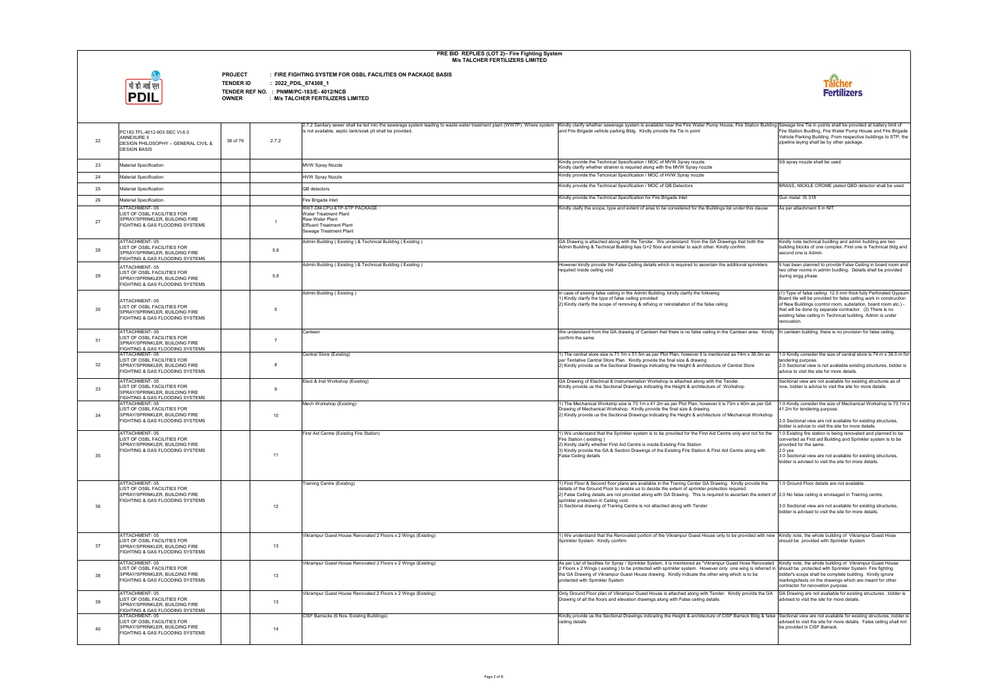

**PROJECT : FIRE FIGHTING SYSTEM FOR OSBL FACILITIES ON PACKAGE BASIS**

**TENDER ID : 2022\_PDIL\_674308\_1**

| 22 | PC183-TFL-4012-603-SEC VI-6.0<br><b>ANNEXURE II</b><br>38 of 76<br><b>DESIGN PHILOSOPHY - GENERAL CIVIL &amp;</b><br><b>DESIGN BASIS</b> | 2.7.2          | 2.7.2 Sanitary sewer shall be led into the sewerage system leading to waste water treatment plant (WWTP). Where system   Kindly clarify whether sewerage system is available near the Fire Water Pump House, Fire Station Buil<br>is not available, septic tank/soak pit shall be provided. | and Fire Brigade vehicle parking Bldg. Kindly provide the Tie in point                                                                                                                                                                                                                                                                                                                                                                                                                              | Fire Station Buidling, Fire Water Pump House and Fire Brigad<br>Vehicle Parking Building. From respective buildings to STP, tl<br>pipeline laying shall be by other package.                                                                                                                                                                        |
|----|------------------------------------------------------------------------------------------------------------------------------------------|----------------|---------------------------------------------------------------------------------------------------------------------------------------------------------------------------------------------------------------------------------------------------------------------------------------------|-----------------------------------------------------------------------------------------------------------------------------------------------------------------------------------------------------------------------------------------------------------------------------------------------------------------------------------------------------------------------------------------------------------------------------------------------------------------------------------------------------|-----------------------------------------------------------------------------------------------------------------------------------------------------------------------------------------------------------------------------------------------------------------------------------------------------------------------------------------------------|
| 23 | <b>Material Specification</b>                                                                                                            |                | <b>MVW Spray Nozzle</b>                                                                                                                                                                                                                                                                     | Kindly provide the Technical Specification / MOC of MVW Spray nozzle.<br>Kindly clarify whether strainer is required along with the MVW Spray nozzle                                                                                                                                                                                                                                                                                                                                                | SS spray nozzle shall be used.                                                                                                                                                                                                                                                                                                                      |
| 24 | <b>Material Specification</b>                                                                                                            |                | <b>HVW Spray Nozzle</b>                                                                                                                                                                                                                                                                     | Kindly provide the Tehcnical Specification / MOC of HVW Spray nozzle                                                                                                                                                                                                                                                                                                                                                                                                                                |                                                                                                                                                                                                                                                                                                                                                     |
| 25 | <b>Material Specification</b>                                                                                                            |                | QB detectors                                                                                                                                                                                                                                                                                | Kindly provide the Technical Specification / MOC of QB Detectors                                                                                                                                                                                                                                                                                                                                                                                                                                    | BRASS, NICKLE CROME plated QBD detector shall be used                                                                                                                                                                                                                                                                                               |
| 26 | <b>Material Specification</b>                                                                                                            |                | Fire Brigade Inlet                                                                                                                                                                                                                                                                          | Kindly provide the Technical Specification for Fire Brigade Inlet                                                                                                                                                                                                                                                                                                                                                                                                                                   | Gun metal IS 318                                                                                                                                                                                                                                                                                                                                    |
|    | ATTACHMENT-05                                                                                                                            |                | RWT-DM-CPU-ETP-STP PACKAGE:                                                                                                                                                                                                                                                                 | Kindly claify the scope, type and extent of area to be considered for the Buildings list under this clause                                                                                                                                                                                                                                                                                                                                                                                          | As per attachment 5 in NIT                                                                                                                                                                                                                                                                                                                          |
| 27 | LIST OF OSBL FACILITIES FOR<br>SPRAY/SPRINKLER, BUILDING FIRE<br>FIGHTING & GAS FLOODING SYSTEMS                                         |                | Water Treatment Plant<br>Raw Water Plant<br><b>Effluent Treatment Plant</b><br>Sewage Treatment Plant                                                                                                                                                                                       |                                                                                                                                                                                                                                                                                                                                                                                                                                                                                                     |                                                                                                                                                                                                                                                                                                                                                     |
| 28 | ATTACHMENT-05<br>LIST OF OSBL FACILITIES FOR<br>SPRAY/SPRINKLER, BUILDING FIRE<br>FIGHTING & GAS FLOODING SYSTEMS                        | 5,6            | Admin Building (Existing) & Technical Building (Existing)                                                                                                                                                                                                                                   | GA Drawing is attached along with the Tender. We understand from the GA Drawings that both the<br>Admin Building & Technical Building has G+2 floor and similar to each other. Kindly confirm.                                                                                                                                                                                                                                                                                                      | Kindly note technical buidling and admin building are two<br>building blocks of one complex. First one is Technical bldg ar<br>second one is Admin.                                                                                                                                                                                                 |
| 29 | ATTACHMENT-05<br>LIST OF OSBL FACILITIES FOR<br>SPRAY/SPRINKLER, BUILDING FIRE<br>FIGHTING & GAS FLOODING SYSTEMS                        | 5,6            | Admin Building (Existing) & Technical Building (Existing)                                                                                                                                                                                                                                   | However kindly provide the False Ceiling details which is required to ascertain the additional sprinklers<br>required inside ceiling void                                                                                                                                                                                                                                                                                                                                                           | It has been planned to provide False Ceiling in board room ar<br>two other rooms in admin buidling. Details shall be provided<br>during engg phase.                                                                                                                                                                                                 |
| 30 | ATTACHMENT-05<br>LIST OF OSBL FACILITIES FOR<br>SPRAY/SPRINKLER, BUILDING FIRE<br><b>FIGHTING &amp; GAS FLOODING SYSTEMS</b>             | -5             | Admin Building (Existing)                                                                                                                                                                                                                                                                   | In case of exising false ceiling in the Admin Building, kindly clarify the following<br>1) Kindly clarify the type of false ceiling provided<br>2) Kindly clarify the scope of removing & refixing or reinstallation of the false celing                                                                                                                                                                                                                                                            | (1) Type of false ceiling: 12.5 mm thick fully Perforated Gypsu<br>Board tile will be provided for false ceiling work in construction<br>of New Buildings (control room, substation, board room etc.) -<br>that will be done by separate contractor. (2) There is no<br>existing false ceiling in Technical building. Admin is under<br>renovation. |
| 31 | ATTACHMENT-05<br>LIST OF OSBL FACILITIES FOR<br>SPRAY/SPRINKLER, BUILDING FIRE<br>FIGHTING & GAS FLOODING SYSTEMS                        | $\overline{7}$ | Canteen                                                                                                                                                                                                                                                                                     | We understand from the GA drawing of Canteen that there is no false ceiling in the Canteen area. Kindly<br>confirm the same                                                                                                                                                                                                                                                                                                                                                                         | In canteen building, there is no provision for false ceiling.                                                                                                                                                                                                                                                                                       |
| 32 | ATTACHMENT-05<br>LIST OF OSBL FACILITIES FOR<br>SPRAY/SPRINKLER, BUILDING FIRE<br>FIGHTING & GAS FLOODING SYSTEMS                        | -8             | Central Store (Existing)                                                                                                                                                                                                                                                                    | 1) The central store size is 71.1m x 51.5m as per Plot Plan, however it is mentioned as 74m x 36.5m as<br>per Tentative Central Store Plan. Kindly provide the final size & drawing<br>2) Kindly provide us the Sectional Drawings indicating the Height & architecture of Central Store                                                                                                                                                                                                            | 1.0 Kindly consider the size of central store is 74 m x 36.5 m<br>tendering purpose<br>2.0 Sectional view is not avaliable existing structures, bidder i<br>advice to visit the site for more details.                                                                                                                                              |
| 33 | ATTACHMENT-05<br>LIST OF OSBL FACILITIES FOR<br>SPRAY/SPRINKLER, BUILDING FIRE<br>FIGHTING & GAS FLOODING SYSTEMS                        | 9              | Elect & Inst Workshop (Existing)                                                                                                                                                                                                                                                            | GA Drawing of Electrical & Instrumentation Workshop is attached along with the Tender.<br>Kindly provide us the Sectional Drawings indicating the Height & architecture of Workshop                                                                                                                                                                                                                                                                                                                 | Sectional view are not avaliable for existing structures as of<br>now, bidder is advice to visit the site for more details.                                                                                                                                                                                                                         |
| 34 | ATTACHMENT-05<br>LIST OF OSBL FACILITIES FOR<br>SPRAY/SPRINKLER, BUILDING FIRE<br>FIGHTING & GAS FLOODING SYSTEMS                        | 10             | Mech Workshop (Existing)                                                                                                                                                                                                                                                                    | 1) The Mechanical Workship size is 73.1m x 41.2m as per Plot Plan, however it is 73m x 40m as per GA<br>Drawing of Mechanical Workshop. Kindly provide the final size & drawing<br>2) Kindly provide us the Sectional Drawings indicating the Height & architecture of Mechanical Workshop                                                                                                                                                                                                          | 1.0 Kindly consider the size of Mechanical Workshop is 73.1r<br>41.2m for tendering purpose.<br>2.0 Sectional view are not avaliable for existing structures,<br>bidder is advice to visit the site for more details                                                                                                                                |
| 35 | ATTACHMENT-05<br>LIST OF OSBL FACILITIES FOR<br>SPRAY/SPRINKLER, BUILDING FIRE<br><b>FIGHTING &amp; GAS FLOODING SYSTEMS</b>             | 11             | First Aid Centre (Existing Fire Station)                                                                                                                                                                                                                                                    | 1) We understand that the Sprinkler system is to be provided for the First Aid Centre only and not for the<br>Fire Station (existing)<br>2) Kindly clarify whether First Aid Centre is inside Existing Fire Station<br>3) Kindly provide the GA & Section Drawings of the Existing Fire Station & First Aid Centre along with<br>False Ceiling details                                                                                                                                              | 1.0 Existing fire station is being renovated and planned to be<br>converted as First aid Building and Sprinkler system is to be<br>provided for the same.<br>$2.0$ yes<br>3.0 Sectional view are not avaliable for existing structures,<br>bidder is advised to visit the site for more details.                                                    |
| 36 | ATTACHMENT-05<br>LIST OF OSBL FACILITIES FOR<br>SPRAY/SPRINKLER, BUILDING FIRE<br>FIGHTING & GAS FLOODING SYSTEMS                        | 12             | Training Centre (Existing)                                                                                                                                                                                                                                                                  | 1) First Floor & Second floor plans are available in the Traning Center GA Drawing. Kindly provide the<br>details of the Ground Floor to enable us to decide the extent of sprinkler protection required.<br>2) False Ceiling details are not provided along with GA Drawing. This is required to ascertain the extent of 2.0 No false ceiling is envisaged in Training centre<br>sprinkler protection in Ceiling void.<br>3) Sectional drawing of Traning Centre is not attached along with Tender | 1.0 Ground Floor details are not available.<br>3.0 Sectional view are not avaliable for existing structures,<br>bidder is advised to visit the site for more details.                                                                                                                                                                               |
| 37 | ATTACHMENT-05<br>LIST OF OSBL FACILITIES FOR<br>SPRAY/SPRINKLER, BUILDING FIRE<br>FIGHTING & GAS FLOODING SYSTEMS                        | 13             | Vikrampur Guest House Renovated 2 Floors x 2 Wings (Existing)                                                                                                                                                                                                                               | 1) We understand that the Renovated portion of the Vikrampur Guest House only to be provided with new Kindly note, the whole building of Vikrampur Guest Hose<br>Sprinkler System. Kindly confirm                                                                                                                                                                                                                                                                                                   | should be provided with Sprinkler System                                                                                                                                                                                                                                                                                                            |
| 38 | ATTACHMENT-05<br>LIST OF OSBL FACILITIES FOR<br>SPRAY/SPRINKLER, BUILDING FIRE<br>FIGHTING & GAS FLOODING SYSTEMS                        | 13             | Vikrampur Guest House Renovated 2 Floors x 2 Wings (Existing)                                                                                                                                                                                                                               | As per List of facilities for Spray / Sprinkler System, it is mentioned as "Vikrampur Guest Hose Renovated<br>2 Floors x 2 Wings (existing) to be protected wtih sprinkler system. However only one wing is referred in should be protected with Sprinkler System. Fire fighting<br>the GA Drawing of Vikrampur Guest House drawing. Kindly indicate the other wing which is to be<br>protected with Sprinkler System                                                                               | Kindly note, the whole building of Vikrampur Guest House<br>bidder's scope shall be complete building. Kindly ignore<br>markings/texts on the drawings which are meant for other<br>contractor for renovation purpose.                                                                                                                              |
| 39 | ATTACHMENT-05<br>LIST OF OSBL FACILITIES FOR<br>SPRAY/SPRINKLER, BUILDING FIRE<br>FIGHTING & GAS FLOODING SYSTEMS                        | 13             | Vikrampur Guest House Renovated 2 Floors x 2 Wings (Existing)                                                                                                                                                                                                                               | Only Ground Floor plan of Vikrampur Guest House is attached along with Tender. Kindly provide the GA<br>Drawing of all the floors and elevation drawings along with False ceiling details.                                                                                                                                                                                                                                                                                                          | GA Drawing are not avaliable for existing structures, bidder is<br>advised to visit the site for more details.                                                                                                                                                                                                                                      |
| 40 | ATTACHMENT-05<br>LIST OF OSBL FACILITIES FOR<br>SPRAY/SPRINKLER, BUILDING FIRE<br>FIGHTING & GAS FLOODING SYSTEMS                        | 14             | CISF Barracks (6 Nos. Existing Buildings)                                                                                                                                                                                                                                                   | Kindly provide us the Sectional Drawings indicating the Height & architecture of CISF Barrack Bldg & false<br>ceiling details                                                                                                                                                                                                                                                                                                                                                                       | Sectional view are not avaliable for existing structures, bidder<br>advised to visit the site for more details. False ceiling shall no<br>be provided in CISF Barrack.                                                                                                                                                                              |

|                            | Itation Building Sewage line Tie in points shall be provided at battery limit of<br>Fire Station Buidling, Fire Water Pump House and Fire Brigade<br>Vehicle Parking Building. From respective buildings to STP, the<br>pipeline laying shall be by other package.                                                                                   |
|----------------------------|------------------------------------------------------------------------------------------------------------------------------------------------------------------------------------------------------------------------------------------------------------------------------------------------------------------------------------------------------|
|                            | SS spray nozzle shall be used.                                                                                                                                                                                                                                                                                                                       |
|                            | BRASS, NICKLE CROME plated QBD detector shall be used.                                                                                                                                                                                                                                                                                               |
|                            | Gun metal IS 318                                                                                                                                                                                                                                                                                                                                     |
| this clause                | As per attachment 5 in NIT.                                                                                                                                                                                                                                                                                                                          |
| both the                   | Kindly note technical buidling and admin building are two<br>building blocks of one complex. First one is Technical bldg and<br>second one is Admin.                                                                                                                                                                                                 |
| sprinklers                 | It has been planned to provide False Ceiling in board room and<br>two other rooms in admin buidling. Details shall be provided<br>during engg phase.                                                                                                                                                                                                 |
|                            | (1) Type of false ceiling: 12.5 mm thick fully Perforated Gypsum<br>Board tile will be provided for false ceiling work in construction<br>of New Buildings (control room, substation, board room etc.) -<br>that will be done by separate contractor. (2) There is no<br>existing false ceiling in Technical building. Admin is under<br>renovation. |
| area. Kindly               | In canteen building, there is no provision for false ceiling.                                                                                                                                                                                                                                                                                        |
| x 36.5m as                 | 1.0 Kindly consider the size of central store is 74 m x 36.5 m for                                                                                                                                                                                                                                                                                   |
| tore                       | tendering purpose.<br>2.0 Sectional view is not avaliable existing structures, bidder is<br>advice to visit the site for more details.                                                                                                                                                                                                               |
|                            | Sectional view are not avaliable for existing structures as of<br>now, bidder is advice to visit the site for more details.                                                                                                                                                                                                                          |
| n as per GA<br>al Workshop | 1.0 Kindly consider the size of Mechanical Workshop is 73.1m x<br>41.2m for tendering purpose.                                                                                                                                                                                                                                                       |
|                            | 2.0 Sectional view are not avaliable for existing structures,<br>bidder is advice to visit the site for more details.                                                                                                                                                                                                                                |
| d not for the              | 1.0 Existing fire station is being renovated and planned to be<br>converted as First aid Building and Sprinkler system is to be<br>provided for the same.                                                                                                                                                                                            |
| long with                  | $2.0$ yes<br>3.0 Sectional view are not avaliable for existing structures,<br>bidder is advised to visit the site for more details.                                                                                                                                                                                                                  |
| rovide the                 | 1.0 Ground Floor details are not available.                                                                                                                                                                                                                                                                                                          |
|                            | n the extent of 2.0 No false ceiling is envisaged in Training centre.                                                                                                                                                                                                                                                                                |
|                            | 3.0 Sectional view are not avaliable for existing structures,<br>bidder is advised to visit the site for more details.                                                                                                                                                                                                                               |
| ided with new              | Kindly note, the whole building of Vikrampur Guest Hose<br>should be provided with Sprinkler System                                                                                                                                                                                                                                                  |
| e Renovated                | Kindly note, the whole building of Vikrampur Guest House                                                                                                                                                                                                                                                                                             |
| g is referred in<br>to be  | should be protected with Sprinkler System. Fire fighting<br>bidder's scope shall be complete building. Kindly ignore<br>markings/texts on the drawings which are meant for other<br>contractor for renovation purpose.                                                                                                                               |
| ovide the GA               | GA Drawing are not avaliable for existing structures, bidder is<br>advised to visit the site for more details.                                                                                                                                                                                                                                       |
| k Bldg & false             | Sectional view are not avaliable for existing structures, bidder is<br>advised to visit the site for more details. False ceiling shall not<br>be provided in CISF Barrack.                                                                                                                                                                           |

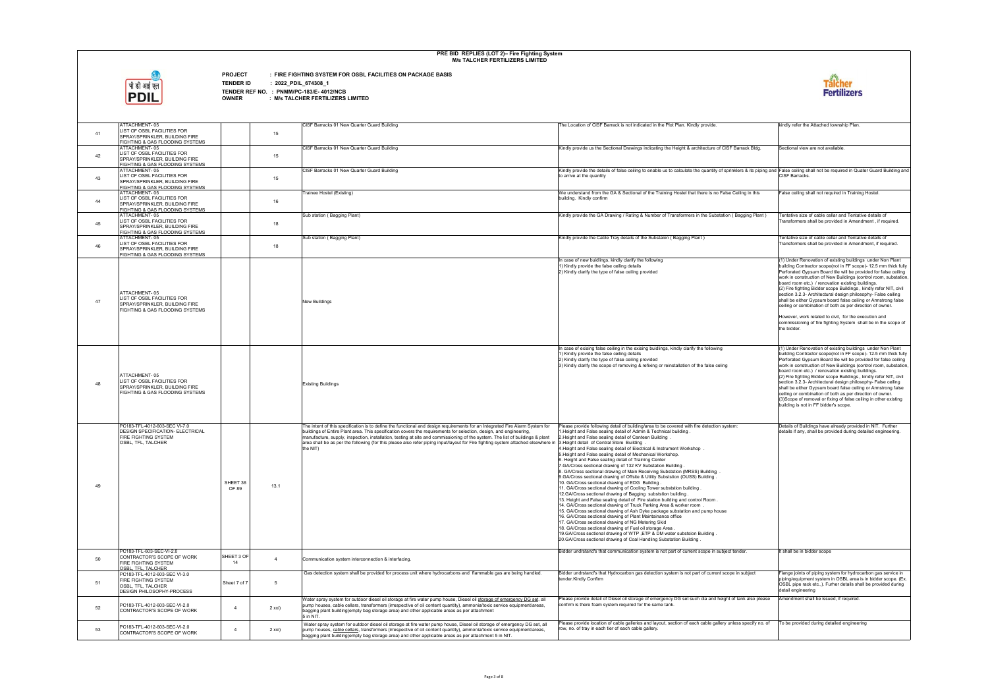

**PROJECT : FIRE FIGHTING SYSTEM FOR OSBL FACILITIES ON PACKAGE BASIS**

**TENDER ID : 2022\_PDIL\_674308\_1**

| 41 | ATTACHMENT-05<br>LIST OF OSBL FACILITIES FOR<br>SPRAY/SPRINKLER, BUILDING FIRE<br>FIGHTING & GAS FLOODING SYSTEMS                                    |                   | 15             | CISF Barracks 01 New Quarter Guard Building                                                                                                                                                                                                                                                                                                                                                                                                                                                                                                                                     | The Location of CISF Barrack is not indicated in the Plot Plan. Kindly provide.                                                                                                                                                                                                                                                                                                                                                                                                                                                                                                                                                                                                                                                                                                                                                                                                                                                                                                                                                                                                                                                                                                                                                                                                                                                                                                                                                  | kindly refer the Attached township Plan.                                                                                                                                                                                                                                                                                                                                                                                                                                                                                                                                                                                                                                                                                               |
|----|------------------------------------------------------------------------------------------------------------------------------------------------------|-------------------|----------------|---------------------------------------------------------------------------------------------------------------------------------------------------------------------------------------------------------------------------------------------------------------------------------------------------------------------------------------------------------------------------------------------------------------------------------------------------------------------------------------------------------------------------------------------------------------------------------|----------------------------------------------------------------------------------------------------------------------------------------------------------------------------------------------------------------------------------------------------------------------------------------------------------------------------------------------------------------------------------------------------------------------------------------------------------------------------------------------------------------------------------------------------------------------------------------------------------------------------------------------------------------------------------------------------------------------------------------------------------------------------------------------------------------------------------------------------------------------------------------------------------------------------------------------------------------------------------------------------------------------------------------------------------------------------------------------------------------------------------------------------------------------------------------------------------------------------------------------------------------------------------------------------------------------------------------------------------------------------------------------------------------------------------|----------------------------------------------------------------------------------------------------------------------------------------------------------------------------------------------------------------------------------------------------------------------------------------------------------------------------------------------------------------------------------------------------------------------------------------------------------------------------------------------------------------------------------------------------------------------------------------------------------------------------------------------------------------------------------------------------------------------------------------|
| 42 | ATTACHMENT-05<br>LIST OF OSBL FACILITIES FOR<br>SPRAY/SPRINKLER, BUILDING FIRE<br>FIGHTING & GAS FLOODING SYSTEMS                                    |                   | 15             | CISF Barracks 01 New Quarter Guard Building                                                                                                                                                                                                                                                                                                                                                                                                                                                                                                                                     | Kindly provide us the Sectional Drawings indicating the Height & architecture of CISF Barrack Bldg.                                                                                                                                                                                                                                                                                                                                                                                                                                                                                                                                                                                                                                                                                                                                                                                                                                                                                                                                                                                                                                                                                                                                                                                                                                                                                                                              | Sectional view are not avaliable.                                                                                                                                                                                                                                                                                                                                                                                                                                                                                                                                                                                                                                                                                                      |
| 43 | ATTACHMENT-05<br>LIST OF OSBL FACILITIES FOR<br>SPRAY/SPRINKLER, BUILDING FIRE<br>FIGHTING & GAS FLOODING SYSTEMS                                    |                   | 15             | CISF Barracks 01 New Quarter Guard Building                                                                                                                                                                                                                                                                                                                                                                                                                                                                                                                                     | Kindly provide the details of false ceiling to enable us to calculate the quantity of sprinklers & its piping and False ceiling shall not be required in Quater Guard Building and<br>to arrive at the quantity                                                                                                                                                                                                                                                                                                                                                                                                                                                                                                                                                                                                                                                                                                                                                                                                                                                                                                                                                                                                                                                                                                                                                                                                                  | CISF Barracks.                                                                                                                                                                                                                                                                                                                                                                                                                                                                                                                                                                                                                                                                                                                         |
| 44 | ATTACHMENT-05<br>LIST OF OSBL FACILITIES FOR<br>SPRAY/SPRINKLER, BUILDING FIRE<br>FIGHTING & GAS FLOODING SYSTEMS                                    |                   | 16             | Trainee Hostel (Existing)                                                                                                                                                                                                                                                                                                                                                                                                                                                                                                                                                       | We understand from the GA & Sectional of the Training Hostel that there is no False Ceiling in this<br>building. Kindly confirm                                                                                                                                                                                                                                                                                                                                                                                                                                                                                                                                                                                                                                                                                                                                                                                                                                                                                                                                                                                                                                                                                                                                                                                                                                                                                                  | alse ceiling shall not required in Training Hostel.                                                                                                                                                                                                                                                                                                                                                                                                                                                                                                                                                                                                                                                                                    |
| 45 | ATTACHMENT-05<br>LIST OF OSBL FACILITIES FOR<br>SPRAY/SPRINKLER, BUILDING FIRE                                                                       |                   | 18             | Sub station (Bagging Plant)                                                                                                                                                                                                                                                                                                                                                                                                                                                                                                                                                     | Kindly provide the GA Drawing / Rating & Number of Transformers in the Substation (Bagging Plant)                                                                                                                                                                                                                                                                                                                                                                                                                                                                                                                                                                                                                                                                                                                                                                                                                                                                                                                                                                                                                                                                                                                                                                                                                                                                                                                                | Tentative size of cable cellar and Tentative details of<br>Transformers shall be provided in Amendment, if required.                                                                                                                                                                                                                                                                                                                                                                                                                                                                                                                                                                                                                   |
| 46 | FIGHTING & GAS FLOODING SYSTEMS<br>ATTACHMENT-05<br>LIST OF OSBL FACILITIES FOR<br>SPRAY/SPRINKLER, BUILDING FIRE                                    |                   | 18             | Sub station (Bagging Plant)                                                                                                                                                                                                                                                                                                                                                                                                                                                                                                                                                     | Kindly provide the Cable Tray details of the Substaion (Bagging Plant)                                                                                                                                                                                                                                                                                                                                                                                                                                                                                                                                                                                                                                                                                                                                                                                                                                                                                                                                                                                                                                                                                                                                                                                                                                                                                                                                                           | Tentative size of cable cellar and Tentative details of<br>Transformers shall be provided in Amendment, if required.                                                                                                                                                                                                                                                                                                                                                                                                                                                                                                                                                                                                                   |
| 47 | FIGHTING & GAS FLOODING SYSTEMS<br>ATTACHMENT-05<br>LIST OF OSBL FACILITIES FOR<br>SPRAY/SPRINKLER, BUILDING FIRE<br>FIGHTING & GAS FLOODING SYSTEMS |                   |                | <b>New Buildings</b>                                                                                                                                                                                                                                                                                                                                                                                                                                                                                                                                                            | In case of new buidlings, kindly clarify the following<br>1) Kindly provide the false ceiling details<br>2) Kindly clarify the type of false ceiling provided                                                                                                                                                                                                                                                                                                                                                                                                                                                                                                                                                                                                                                                                                                                                                                                                                                                                                                                                                                                                                                                                                                                                                                                                                                                                    | (1) Under Renovation of existing buildings under Non Plant<br>building Contractor scope(not in FF scope)- 12.5 mm thick fully<br>Perforated Gypsum Board tile will be provided for false ceiling<br>work in construction of New Buildings (control room, substation,<br>board room etc.) / renovation existing buildings.<br>(2) Fire fighting Bidder scope Buildings, kindly refer NIT, civil<br>section 3.2.3- Architectural design philosophy- False ceiling<br>shall be either Gypsum board false ceiling or Armstrong false<br>ceiling or combination of both as per direction of owner<br>However, work related to civil, for the execution and<br>commissioning of fire fighting System shall be in the scope of<br>the bidder. |
| 48 | ATTACHMENT-05<br>LIST OF OSBL FACILITIES FOR<br>SPRAY/SPRINKLER, BUILDING FIRE<br>FIGHTING & GAS FLOODING SYSTEMS                                    |                   |                | <b>Existing Buildings</b>                                                                                                                                                                                                                                                                                                                                                                                                                                                                                                                                                       | In case of exising false ceiling in the exising buidlings, kindly clarify the following<br>1) Kindly provide the false ceiling details<br>2) Kindly clarify the type of false ceiling provided<br>3) Kindly clarify the scope of removing & refixing or reinstallation of the false celing                                                                                                                                                                                                                                                                                                                                                                                                                                                                                                                                                                                                                                                                                                                                                                                                                                                                                                                                                                                                                                                                                                                                       | (1) Under Renovation of existing buildings under Non Plant<br>building Contractor scope(not in FF scope)- 12.5 mm thick fully<br>Perforated Gypsum Board tile will be provided for false ceiling<br>work in construction of New Buildings (control room, substation,<br>board room etc.) / renovation existing buildings.<br>(2) Fire fighting Bidder scope Buildings, kindly refer NIT, civil<br>section 3.2.3- Architectural design philosophy- False ceiling<br>shall be either Gypsum board false ceiling or Armstrong false<br>ceiling or combination of both as per direction of owner.<br>(3) Scope of removal or fixing of false ceiling in other existing<br>building is not in FF bidder's scope.                            |
| 49 | PC183-TFL-4012-603-SEC VI-7.0<br>DESIGN SPECIFICATION- ELECTRICAL<br>FIRE FIGHTING SYSTEM<br>OSBL, TFL, TALCHER                                      | SHEET 36<br>OF 89 | 13.1           | The intent of this specification is to define the functional and design requirements for an Integrated Fire Alarm System for<br>buildings of Entire Plant area. This specification covers the requirements for selection, design, and engineering,<br>manufacture, supply, inspection, installation, testing at site and commissioning of the system. The list of buildings & plant<br>area shall be as per the following (for this please also refer piping input/layout for Fire fighting system attached elsewhere in 3. Height detail of Central Store Building<br>the NIT) | Please provide following detail of building/area to be covered with fire detection system:<br>1. Height and False sealing detail of Admin & Technical building.<br>2. Height and False sealing detail of Canteen Building<br>4. Height and False sealing detail of Electrical & Instrument Workshop<br>5. Height and False sealing detail of Mechanical Workshop.<br>6. Height and False sealing detail of Training Center<br>7. GA/Cross sectional drawing of 132 KV Substation Building<br>8. GA/Cross sectional drawing of Main Receiving Subststion (MRSS) Building<br>9.GA/Cross sectional drawing of Offsite & Utility Subststion (OUSS) Building<br>10. GA/Cross sectional drawing of EDG Building.<br>11. GA/Cross sectional drawing of Cooling Tower subststion building<br>12.GA/Cross sectional drawing of Bagging subststion building.<br>13. Height and False sealing detail of Fire station building and control Room.<br>14. GA/Cross sectional drawing of Truck Parking Area & worker room<br>15. GA/Cross sectional drawing of Ash Dyke package substation and pump house<br>16. GA/Cross sectional drawing of Plant Maintainance office<br>17. GA/Cross sectional drawing of NG Metering Skid<br>18. GA/Cross sectional drawing of Fuel oil storage Area.<br>19. GA/Cross sectional drawing of WTP , ETP & DM water substsion Building<br>20. GA/Cross sectional drawing of Coal Handling Substation Building. | Details of Buildings have already provided in NIT. Further<br>details if any, shall be provided during detailed engineering                                                                                                                                                                                                                                                                                                                                                                                                                                                                                                                                                                                                            |
| 50 | PC183-TFL-603-SEC-VI-2.0<br>CONTRACTOR'S SCOPE OF WORK<br><b>FIRE FIGHTING SYSTEM</b>                                                                | SHEET 3 OF<br>14  | $\overline{4}$ | Communication system interconnection & interfacing.                                                                                                                                                                                                                                                                                                                                                                                                                                                                                                                             | Bidder undrstand's that communication system is not part of current scope in subject tender.                                                                                                                                                                                                                                                                                                                                                                                                                                                                                                                                                                                                                                                                                                                                                                                                                                                                                                                                                                                                                                                                                                                                                                                                                                                                                                                                     | It shall be in bidder scope                                                                                                                                                                                                                                                                                                                                                                                                                                                                                                                                                                                                                                                                                                            |
| 51 | OSBL. TFL. TALCHER<br>PC183-TFL-4012-603-SEC VI-3.0<br><b>FIRE FIGHTING SYSTEM</b><br>OSBL. TFL. TALCHER<br>DESIGN PHILOSOPHY-PROCESS                | Sheet 7 of 7      | -5             | Gas detection system shall be provided for process unit where hydrocarbons and flammable gas are being handled.                                                                                                                                                                                                                                                                                                                                                                                                                                                                 | Bidder undrstand's that Hydrocarbon gas detection system is not part of current scope in subject<br>tender.Kindly Confirm                                                                                                                                                                                                                                                                                                                                                                                                                                                                                                                                                                                                                                                                                                                                                                                                                                                                                                                                                                                                                                                                                                                                                                                                                                                                                                        | Flange joints of piping system for hydrocarbon gas service in<br>piping/equipment system in OSBL area is in bidder scope. (Ex.<br>OSBL pipe rack etc.,). Furher details shall be provided during<br>detail engineering                                                                                                                                                                                                                                                                                                                                                                                                                                                                                                                 |
| 52 | PC183-TFL-4012-603-SEC-VI-2.0<br>CONTRACTOR'S SCOPE OF WORK                                                                                          | $\overline{4}$    | 2 xxi)         | Water spray system for outdoor diesel oil storage at fire water pump house, Diesel oil storage of emergency DG set, all<br>pump houses, cable cellars, transformers (irrespective of oil content quantity), ammonia/toxic service equipment/areas,<br>bagging plant building(empty bag storage area) and other applicable areas as per attachment<br>5 in NIT.                                                                                                                                                                                                                  | Please provide detail of Diesel oil storage of emergency DG set such dia and height of tank also please<br>confirm is there foam system required for the same tank.                                                                                                                                                                                                                                                                                                                                                                                                                                                                                                                                                                                                                                                                                                                                                                                                                                                                                                                                                                                                                                                                                                                                                                                                                                                              | Amendment shall be issued, if required.                                                                                                                                                                                                                                                                                                                                                                                                                                                                                                                                                                                                                                                                                                |
| 53 | PC183-TFL-4012-603-SEC-VI-2.0<br>CONTRACTOR'S SCOPE OF WORK                                                                                          | $\overline{4}$    | 2 xxi)         | Water spray system for outdoor diesel oil storage at fire water pump house, Diesel oil storage of emergency DG set, all<br>pump houses, cable cellars, transformers (irrespective of oil content quantity), ammonia/toxic service equipment/areas,<br>bagging plant building(empty bag storage area) and other applicable areas as per attachment 5 in NIT.                                                                                                                                                                                                                     | Please provide location of cable galleries and layout, section of each cable gallery unless specify no. of<br>row, no. of tray in each tier of each cable gallery.                                                                                                                                                                                                                                                                                                                                                                                                                                                                                                                                                                                                                                                                                                                                                                                                                                                                                                                                                                                                                                                                                                                                                                                                                                                               | To be provided during detailed engineering                                                                                                                                                                                                                                                                                                                                                                                                                                                                                                                                                                                                                                                                                             |

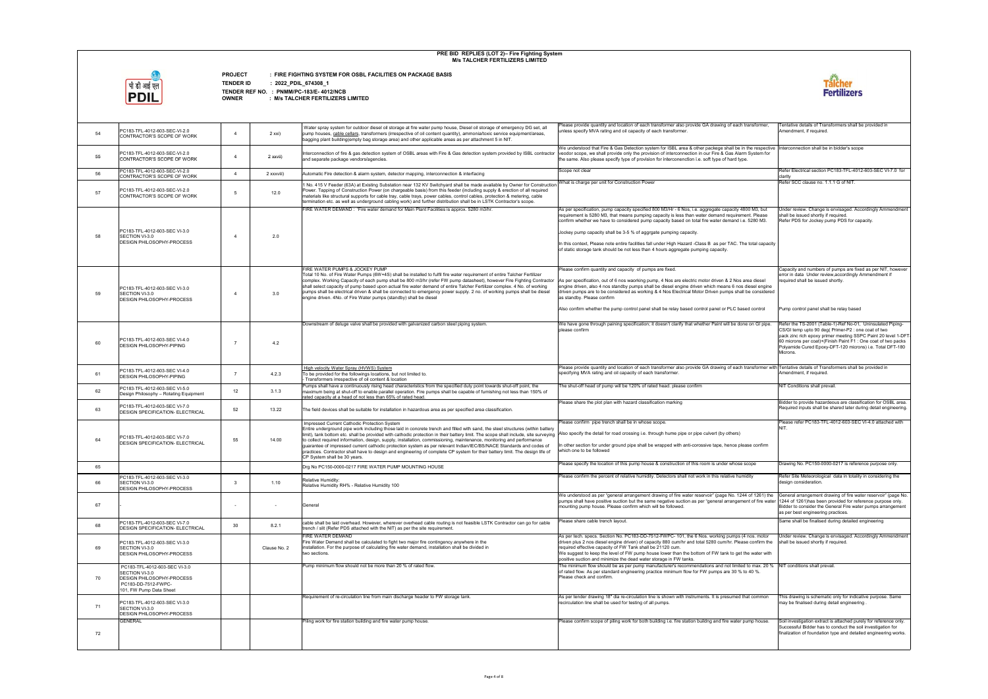

**PROJECT : FIRE FIGHTING SYSTEM FOR OSBL FACILITIES ON PACKAGE BASIS**

**TENDER ID : 2022\_PDIL\_674308\_1**

| 54 | PC183-TFL-4012-603-SEC-VI-2.0<br>CONTRACTOR'S SCOPE OF WORK                                                                    | $\overline{a}$  | 2 xxi)       | Water spray system for outdoor diesel oil storage at fire water pump house, Diesel oil storage of emergency DG set, all<br>pump houses, cable cellars, transformers (irrespective of oil content quantity), ammonia/toxic service equipment/areas,<br>bagging plant building(empty bag storage area) and other applicable areas as per attachment 5 in NIT.                                                                                                                                                                                                                                                                                                                                                                                                                                                                       | Please provide quantity and location of each transformer also provide GA drawing of each transformer,<br>unless specify MVA rating and oil capacity of each transformer.                                                                                                                                                                                                                                                                                                                                                                                                                     | Tentative details of Transformers shall be provided in<br>Amendment, if required.                                                                                                                                                                                                                                            |
|----|--------------------------------------------------------------------------------------------------------------------------------|-----------------|--------------|-----------------------------------------------------------------------------------------------------------------------------------------------------------------------------------------------------------------------------------------------------------------------------------------------------------------------------------------------------------------------------------------------------------------------------------------------------------------------------------------------------------------------------------------------------------------------------------------------------------------------------------------------------------------------------------------------------------------------------------------------------------------------------------------------------------------------------------|----------------------------------------------------------------------------------------------------------------------------------------------------------------------------------------------------------------------------------------------------------------------------------------------------------------------------------------------------------------------------------------------------------------------------------------------------------------------------------------------------------------------------------------------------------------------------------------------|------------------------------------------------------------------------------------------------------------------------------------------------------------------------------------------------------------------------------------------------------------------------------------------------------------------------------|
| 55 | PC183-TFL-4012-603-SEC-VI-2.0<br>CONTRACTOR'S SCOPE OF WORK                                                                    | $\overline{4}$  | 2 xxvii)     | Interconnection of fire & gas detection system of OSBL areas with Fire & Gas detection system provided by ISBL contractor<br>and separate package vendors/agencies.                                                                                                                                                                                                                                                                                                                                                                                                                                                                                                                                                                                                                                                               | We understood that Fire & Gas Detection system for ISBL area & other packege shall be in the respective Interconnection shall be in bidder's scope<br>veodor scope, we shall provide only the provision of interconnection in our Fire & Gas Alarm System for<br>the same. Also please specify type of provision for interconenction i.e. soft type of hard type.                                                                                                                                                                                                                            |                                                                                                                                                                                                                                                                                                                              |
| 56 | PC183-TFL-4012-603-SEC-VI-2.0<br>CONTRACTOR'S SCOPE OF WORK                                                                    | $\overline{a}$  | 2 xxxviii)   | Automatic Fire detection & alarm system, detector mapping, interconnection & interfacing                                                                                                                                                                                                                                                                                                                                                                                                                                                                                                                                                                                                                                                                                                                                          | Scope not clear                                                                                                                                                                                                                                                                                                                                                                                                                                                                                                                                                                              | Refer Electrical section PC183-TFL-4012-603-SEC VI-7.0 for<br>clarity                                                                                                                                                                                                                                                        |
| 57 | PC183-TFL-4012-603-SEC-VI-2.0<br>CONTRACTOR'S SCOPE OF WORK                                                                    | $5\overline{5}$ | 12.0         | 1 No. 415 V Feeder (63A) at Existing Substation near 132 KV Switchyard shall be made available by Owner for Construction<br>Power. Tapping of Construction Power (on chargeable basis) from this feeder (including supply & erection of all required<br>materials like structural supports for cable tray, cable trays, power cables, control cables, protection & metering, cable<br>termination etc. as well as underground cabling work) and further distribution shall be in LSTK Contractor's scope.                                                                                                                                                                                                                                                                                                                         | What is charge per unit for Construction Power                                                                                                                                                                                                                                                                                                                                                                                                                                                                                                                                               | Refer SCC clause no. 1.1.1 G of NIT.                                                                                                                                                                                                                                                                                         |
| 58 | PC183-TFL-4012-603-SEC VI-3.0<br>SECTION VI-3.0<br><b>DESIGN PHILOSOPHY-PROCESS</b>                                            | $\overline{4}$  | 2.0          | FIRE WATER DEMAND: 'Fire water demand for Main Plant Facilities is approx. 5280 m3/hr.                                                                                                                                                                                                                                                                                                                                                                                                                                                                                                                                                                                                                                                                                                                                            | As per specification, pump capacity specified 800 M3/Hr - 6 Nos, i.e. aggregate capacity 4800 M3, but<br>requirement is 5280 M3, that means pumping capacity is less than water demand requirement. Please<br>confirm whether we have to considered pump capacity based on total fire water demand i.e. 5280 M3.<br>Jockey pump capacity shall be 3-5 % of aggrgate pumping capacity.<br>In this context, Please note entire facilities fall under High Hazard -Class B as per TAC. The total capacity<br>of static storage tank should be not less than 4 hours aggregate pumping capacity. | Under review. Change is envisaged. Accordingly Ammendment<br>shall be issued shortly if required.<br>Refer PDS for Jockey pump PDS for capacity                                                                                                                                                                              |
| 59 | PC183-TFL-4012-603-SEC VI-3.0<br>SECTION VI-3.0<br><b>DESIGN PHILOSOPHY-PROCESS</b>                                            | $\overline{4}$  | 3.0          | FIRE WATER PUMPS & JOCKEY PUMP<br>Total 10 No. of Fire Water Pumps (6W+4S) shall be installed to fulfil fire water requirement of entire Talcher Fertilizer<br>complex. Working Capacity of each pump shall be 800 m3/hr (refer FW pump datasheet), however Fire Fighting Contractor<br>shall select capacity of pump based upon actual fire water demand of entire Talcher Fertilizer complex. 4 No. of working<br>pumps shall be electrical driven & shall be connected to emergency power supply. 2 no. of working pumps shall be diesel<br>engine driven, 4No, of Fire Water pumps (standby) shall be diesel                                                                                                                                                                                                                  | Please confirm quantity and capacity of pumps are fixed.<br>As per specification, out of 6 nos waorking pump, 4 Nos are electric motor driven & 2 Nos area diesel<br>engine driven, also 4 nos standby pumps shall be diesel engine driven which means 6 nos diesel engine<br>driven pumps are to be considered as working & 4 Nos Electrical Motor Driven pumps shall be considered<br>as standby. Please confirm<br>Also confirm whether the pump control panel shall be relay based control panel or PLC based control                                                                    | Capacity and numbers of pumps are fixed as per NIT, however<br>error in data Under review, accordingly Ammendment if<br>required shall be issued shortly.<br>Pump control panel shall be relay based                                                                                                                         |
|    |                                                                                                                                |                 |              |                                                                                                                                                                                                                                                                                                                                                                                                                                                                                                                                                                                                                                                                                                                                                                                                                                   |                                                                                                                                                                                                                                                                                                                                                                                                                                                                                                                                                                                              |                                                                                                                                                                                                                                                                                                                              |
| 60 | PC183-TFL-4012-603-SEC VI-4.0<br>DESIGN PHILOSOPHY-PIPING                                                                      | $\overline{7}$  | 4.2          | Downstream of deluge valve shall be provided with galvanized carbon steel piping system.                                                                                                                                                                                                                                                                                                                                                                                                                                                                                                                                                                                                                                                                                                                                          | We have gone through paining specification; it doesn't clarify that whether Paint will be done on GI pipe.<br>please confirm                                                                                                                                                                                                                                                                                                                                                                                                                                                                 | Refer the TS-2001 (Table-1)-Ref No-01, Uninsulated Piping-<br>CS/GI temp upto 90 deg( Primer-P2 : one coat of two<br>pack zinc rich epoxy primer meeting SSPC Paint 20 level 1-DFT<br>60 microns per coat)+(Finish Paint F1 : One coat of two packs<br>Polyamide Cured Epoxy-DFT-120 microns) i.e. Total DFT-180<br>Microns. |
| 61 | PC183-TFL-4012-603-SEC VI-4.0<br>DESIGN PHILOSOPHY-PIPING                                                                      | $\overline{7}$  | 4.2.3        | High velocity Water Spray (HVWS) System<br>To be provided for the followings locations, but not limited to.<br>Transformers irrespective of oil content & location                                                                                                                                                                                                                                                                                                                                                                                                                                                                                                                                                                                                                                                                | Please provide quantity and location of each transformer also provide GA drawing of each transformer with Tentative details of Transformers shall be provided in<br>specifying MVA rating and oil capacity of each transformer.                                                                                                                                                                                                                                                                                                                                                              | Amendment, if required.                                                                                                                                                                                                                                                                                                      |
| 62 | PC183-TFL-4012-603-SEC VI-5.0<br>Design Philosophy - Rotating Equipment                                                        | 12              | 3.1.3        | Pumps shall have a continuously rising head characteristics from the specified duty point towards shut-off point, the<br>maximum being at shut-off to enable parallel operation. Fire pumps shall be capable of furnishing not less than 150% of<br>rated capacity at a head of not less than 65% of rated head.                                                                                                                                                                                                                                                                                                                                                                                                                                                                                                                  | The shut-off head of pump will be 120% of rated head. please confirm                                                                                                                                                                                                                                                                                                                                                                                                                                                                                                                         | NIT Conditions shall prevail.                                                                                                                                                                                                                                                                                                |
| 63 | PC183-TFL-4012-603-SEC VI-7.0<br>DESIGN SPECIFICATION- ELECTRICAL                                                              | 52              | 13.22        | The field devices shall be suitable for installation in hazardous area as per specified area classification.                                                                                                                                                                                                                                                                                                                                                                                                                                                                                                                                                                                                                                                                                                                      | Please share the plot plan with hazard classification marking                                                                                                                                                                                                                                                                                                                                                                                                                                                                                                                                | Bidder to provide hazardeous are classification for OSBL area.<br>Required inputs shall be shared later during detail engineering                                                                                                                                                                                            |
| 64 | PC183-TFL-4012-603-SEC VI-7.0<br>DESIGN SPECIFICATION- ELECTRICAL                                                              | 55              | 14.00        | Impressed Current Cathodic Protection System<br>Entire underground pipe work including those laid in concrete trench and filled with sand, the steel structures (within battery<br>limit), tank bottom etc. shall be provided with cathodic protection in their battery limit. The scope shall include, site surveying  Also specify the detail for road crossing i.e. through hume pipe or pipe culvert (by othe<br>to collect required information, design, supply, installation, commissioning, maintenance, monitoring and performance<br>guarantee of impressed current cathodic protection system as per relevant Indian/IEC/BS/NACE Standards and codes of<br>practices. Contractor shall have to design and engineering of complete CP system for their battery limit. The design life of<br>CP System shall be 30 years. | Please confirm pipe trench shall be in whose scope.<br>In other section for under ground pipe shall be wrapped with anti-corossive tape, hence please confirm<br>which one to be followed                                                                                                                                                                                                                                                                                                                                                                                                    | Please refer PC183-TFL-4012-603-SEC VI-4.0 attached with<br>NIT.                                                                                                                                                                                                                                                             |
| 65 |                                                                                                                                |                 |              | Dra No PC150-0000-0217 FIRE WATER PUMP MOUNTING HOUSE                                                                                                                                                                                                                                                                                                                                                                                                                                                                                                                                                                                                                                                                                                                                                                             | Please specify the location of this pump house & construction of this room is under whose scope                                                                                                                                                                                                                                                                                                                                                                                                                                                                                              | Drawing No. PC150-0000-0217 is reference purpose only.                                                                                                                                                                                                                                                                       |
| 66 | PC183-TFL-4012-603-SEC VI-3.0<br>SECTION VI-3.0<br>DESIGN PHILOSOPHY-PROCESS                                                   | $\mathbf{3}$    | 1.10         | Relative Humidity:<br>Relative Humidity RH% - Relative Humidity 100                                                                                                                                                                                                                                                                                                                                                                                                                                                                                                                                                                                                                                                                                                                                                               | Please confirm the percent of relative humidity. Detectors shall not work in this relative humidity                                                                                                                                                                                                                                                                                                                                                                                                                                                                                          | Refer Site Meteorological data in totality in considering the<br>design consideration.                                                                                                                                                                                                                                       |
| 67 |                                                                                                                                | $\sim$          |              | General                                                                                                                                                                                                                                                                                                                                                                                                                                                                                                                                                                                                                                                                                                                                                                                                                           | We understood as per "general arrangement drawing of fire water reservoir" (page No. 1244 of 1261) the<br>pumps shall have positive suction but the same negative suction as per "general arrangement of fire water  1244 of 1261)has been provided for reference purpose only.<br>mounting pump house. Please confirm which will be followed.                                                                                                                                                                                                                                               | General arrangement drawing of fire water reservoir" (page No.<br>Bidder to consider the General Fire water pumps arrangement<br>as per best engineering practices.                                                                                                                                                          |
| 68 | PC183-TFL-4012-603-SEC VI-7.0<br>DESIGN SPECIFICATION- ELECTRICAL                                                              | 30              | 8.2.1        | cable shall be laid overhead. However, wherever overhead cable routing is not feasible LSTK Contractor can go for cable<br>trench / slit (Refer PDS attached with the NIT) as per the site requirement.                                                                                                                                                                                                                                                                                                                                                                                                                                                                                                                                                                                                                           | Please share cable trench layout.                                                                                                                                                                                                                                                                                                                                                                                                                                                                                                                                                            | Same shall be finalised during detailed engineering                                                                                                                                                                                                                                                                          |
| 69 | PC183-TFL-4012-603-SEC VI-3.0<br>SECTION VI-3.0<br>DESIGN PHILOSOPHY-PROCESS                                                   |                 | Clause No. 2 | FIRE WATER DEMAND<br>Fire Water Demand shall be calculated to fight two major fire contingency anywhere in the<br>installation. For the purpose of calculating fire water demand, installation shall be divided in<br>two sections.                                                                                                                                                                                                                                                                                                                                                                                                                                                                                                                                                                                               | As per tech. specs. Section No. PC183-DD-7512-FWPC-101, the 6 Nos. working pumps (4 nos. motor<br>driven plus 2 nos diesel engine driven) of capacity 880 cum/hr and total 5280 cum/hr. Please confirm the<br>required effective capacity of FW Tank shall be 21120 cum.<br>We suggest to keep the level of FW pump house lower than the bottom of FW tank to get the water with<br>positive suction and minimize the dead water storage in FW tanks.                                                                                                                                        | Jnder review. Change is envisaged. Accordingly Ammendment<br>shall be issued shortly if required.                                                                                                                                                                                                                            |
| 70 | PC183-TFL-4012-603-SEC VI-3.0<br>SECTION VI-3.0<br>DESIGN PHILOSOPHY-PROCESS<br>PC183-DD-7512-FWPC-<br>101, FW Pump Data Sheet |                 |              | Pump minimum flow should not be more than 20 % of rated flow.                                                                                                                                                                                                                                                                                                                                                                                                                                                                                                                                                                                                                                                                                                                                                                     | The minimum flow should be as per pump manufacturer's recommendations and not limited to max. 20 % NIT conditions shall prevail.<br>of rated flow. As per standard engineering practice minimum flow for FW pumps are 30 % to 40 %.<br>Please check and confirm.                                                                                                                                                                                                                                                                                                                             |                                                                                                                                                                                                                                                                                                                              |
| 71 | PC183-TFL-4012-603-SEC VI-3.0<br>SECTION VI-3.0<br>DESIGN PHILOSOPHY-PROCESS                                                   |                 |              | Requirement of re-circulation line from main discharge header to FW storage tank.                                                                                                                                                                                                                                                                                                                                                                                                                                                                                                                                                                                                                                                                                                                                                 | As per tender drawing 18" dia re-circulation line is shown with instruments. It is presumed that common<br>recirculation line shall be used for testing of all pumps.                                                                                                                                                                                                                                                                                                                                                                                                                        | This drawing is schematic only for indicative purpose. Same<br>may be finalised during detail engineering.                                                                                                                                                                                                                   |
| 72 | GENERAL                                                                                                                        |                 |              | Piling work for fire station building and fire water pump house.                                                                                                                                                                                                                                                                                                                                                                                                                                                                                                                                                                                                                                                                                                                                                                  | Please confirm scope of piling work for both building i.e. fire station buildng and fire water pump house.                                                                                                                                                                                                                                                                                                                                                                                                                                                                                   | Soil investigation extract is attached purely for reference only.<br>Successful Bidder has to conduct the soil investigation for<br>finalization of foundation type and detailed engineering works.                                                                                                                          |
|    |                                                                                                                                |                 |              |                                                                                                                                                                                                                                                                                                                                                                                                                                                                                                                                                                                                                                                                                                                                                                                                                                   |                                                                                                                                                                                                                                                                                                                                                                                                                                                                                                                                                                                              |                                                                                                                                                                                                                                                                                                                              |

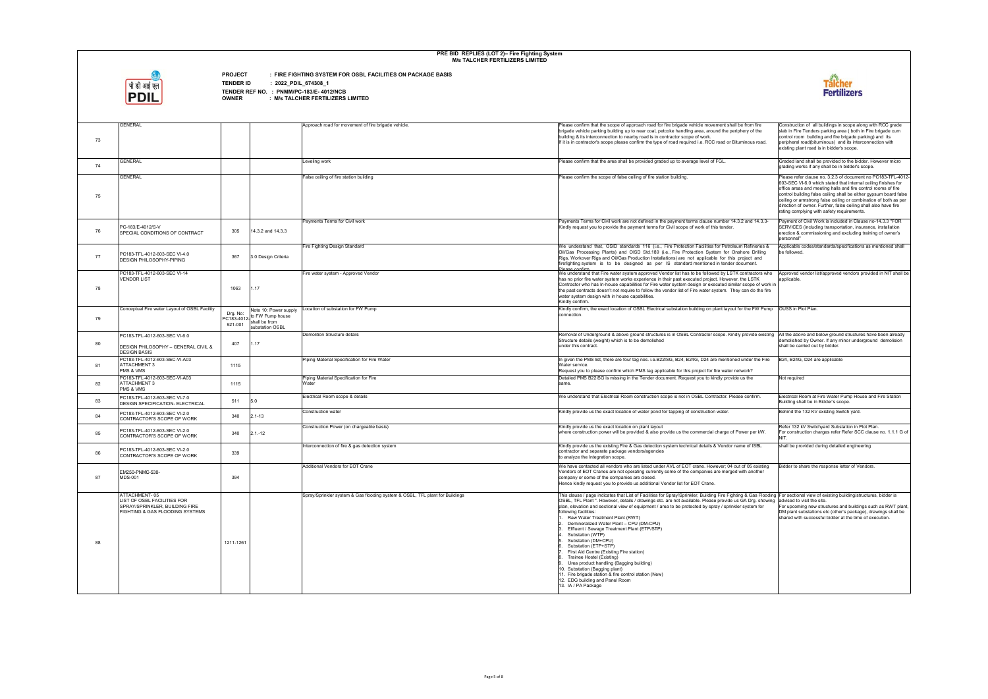

**PROJECT : FIRE FIGHTING SYSTEM FOR OSBL FACILITIES ON PACKAGE BASIS**

**TENDER ID : 2022\_PDIL\_674308\_1**

| 73 | <b>GENERAL</b>                                                                                                    |                     |                                                                                              | Approach road for movement of fire brigade vehicle.                          | Please confirm that the scope of approach road for fire brigade vehicle movement shall be from fire<br>brigade vehicle parking building up to near coal, petcoke handling area, around the periphery of the<br>building & its interconnection to nearby road is in contractor scope of work.<br>If it is in contractor's scope please confirm the type of road required i.e. RCC road or Bituminous road.                                                                                                                                                                                                                                                                                                                                                                                                                                                                                                                                      | Construction of all buildings in scope along with RCC grade<br>slab in Fire Tenders parking area (both in Fire brigade cum<br>control room building and fire brigade parking) and its<br>peripheral road(bituminous) and its interconnection with<br>existing plant road is in bidder's scope.                                                                                                                                                            |
|----|-------------------------------------------------------------------------------------------------------------------|---------------------|----------------------------------------------------------------------------------------------|------------------------------------------------------------------------------|------------------------------------------------------------------------------------------------------------------------------------------------------------------------------------------------------------------------------------------------------------------------------------------------------------------------------------------------------------------------------------------------------------------------------------------------------------------------------------------------------------------------------------------------------------------------------------------------------------------------------------------------------------------------------------------------------------------------------------------------------------------------------------------------------------------------------------------------------------------------------------------------------------------------------------------------|-----------------------------------------------------------------------------------------------------------------------------------------------------------------------------------------------------------------------------------------------------------------------------------------------------------------------------------------------------------------------------------------------------------------------------------------------------------|
| 74 | <b>GENERAL</b>                                                                                                    |                     |                                                                                              | Leveling work                                                                | Please confirm that the area shall be provided graded up to average level of FGL.                                                                                                                                                                                                                                                                                                                                                                                                                                                                                                                                                                                                                                                                                                                                                                                                                                                              | Graded land shall be provided to the bidder. However micro<br>grading works if any shall be in bidder's scope.                                                                                                                                                                                                                                                                                                                                            |
| 75 | <b>GENERAL</b>                                                                                                    |                     |                                                                                              | False ceiling of fire station building                                       | Please confirm the scope of false ceiling of fire station building.                                                                                                                                                                                                                                                                                                                                                                                                                                                                                                                                                                                                                                                                                                                                                                                                                                                                            | Please refer clause no. 3.2.3 of document no PC183-TFL-4012-<br>603-SEC VI-6.0 which stated that internal ceiling finishes for<br>office areas and meeting halls and fire control rooms of fire<br>control building false ceiling shall be either gypsum board false<br>ceiling or armstrong false ceiling or combination of both as per<br>direction of owner. Further, false ceiling shall also have fire<br>rating complying with safety requirements. |
| 76 | PC-183/E-4012/S-V<br>SPECIAL CONDITIONS OF CONTRACT                                                               | 305                 | 14.3.2 and 14.3.3                                                                            | Payments Terms for Civil work                                                | Payments Terms for Civil work are not defined in the payment terms clause number 14.3.2 and 14.3.3-<br>Kindly request you to provide the payment terms for Civil scope of work of this tender.                                                                                                                                                                                                                                                                                                                                                                                                                                                                                                                                                                                                                                                                                                                                                 | Payment of Civil Work is included in Clause no-14.3.3 "FOR<br>SERVICES (including transportation, insurance, installation<br>erection & commissioning and excluding training of owner's<br>personnel"                                                                                                                                                                                                                                                     |
| 77 | PC183-TFL-4012-603-SEC VI-4.0<br><b>DESIGN PHILOSOPHY-PIPING</b>                                                  | 367                 | 3.0 Design Criteria                                                                          | Fire Fighting Design Standard                                                | We understand that, OSID standards 116 (i.e., Fire Protection Facilities for Petroleum Refineries &<br>Oil/Gas Processing Plants) and OISD Std.189 (i.e., Fire Protection System for Onshore Drilling<br>Rigs, Workover Rigs and Oil/Gas Production Installations) are not applicable for this project and<br>firefighting system is to be designed as per IS standard mentioned in tender document.                                                                                                                                                                                                                                                                                                                                                                                                                                                                                                                                           | Applicable codes/standards/specifications as mentioned shall<br>be followed.                                                                                                                                                                                                                                                                                                                                                                              |
| 78 | PC183-TFL-4012-603-SEC VI-14<br><b>VENDOR LIST</b>                                                                | 1063                | 1.17                                                                                         | Fire water system - Approved Vendor                                          | Please confirm<br>We understand that Fire water system approved Vendor list has to be followed by LSTK contractors who Approved vendor list/approved vendors provided in NIT shall be<br>has no prior fire water system works experience in their past executed project. However, the LSTK<br>Contractor who has In-house capabilities for Fire water system design or executed similar scope of work in<br>the past contracts doesn't not require to follow the vendor list of Fire water system. They can do the fire<br>water system design with in house capabilities.<br>Kindly confirm.                                                                                                                                                                                                                                                                                                                                                  | applicable.                                                                                                                                                                                                                                                                                                                                                                                                                                               |
| 79 | Conceptual Fire water Layout of OSBL Facility                                                                     | Drg. No:<br>921-001 | Note 10: Power supply<br>Drg. No:<br>PC183-4012-<br>on: 001 shall be from<br>substation OSBL | Location of substation for FW Pump                                           | Kindly confirm, the exact location of OSBL Electrical substation building on plant layout for the FW Pump   OUSS in Plot Plan.<br>connection.                                                                                                                                                                                                                                                                                                                                                                                                                                                                                                                                                                                                                                                                                                                                                                                                  |                                                                                                                                                                                                                                                                                                                                                                                                                                                           |
| 80 | PC183-TFL-4012-603-SEC VI-6.0<br><b>DESIGN PHILOSOPHY - GENERAL CIVIL &amp;</b><br><b>DESIGN BASIS</b>            | 407                 | 1.17                                                                                         | <b>Demolition Structure details</b>                                          | Removal of Underground & above ground structures is in OSBL Contractor scope. Kindly provide existing  All the above and below ground structures have been already<br>Structure details (weight) which is to be demolished<br>under this contract.                                                                                                                                                                                                                                                                                                                                                                                                                                                                                                                                                                                                                                                                                             | demolished by Owner. If any minor underground demolision<br>shall be carried out by bidder.                                                                                                                                                                                                                                                                                                                                                               |
| 81 | PC183-TFL-4012-603-SEC-VI-A03<br><b>ATTACHMENT 3</b><br>PMS & VMS                                                 | 1115                |                                                                                              | Piping Material Specification for Fire Water                                 | In given the PMS list, there are four tag nos. i.e.B22ISG, B24, B24G, D24 are mentioned under the Fire<br>Water service.<br>Request you to please confirm which PMS tag applicable for this project for fire water network?                                                                                                                                                                                                                                                                                                                                                                                                                                                                                                                                                                                                                                                                                                                    | B24, B24G, D24 are applicable                                                                                                                                                                                                                                                                                                                                                                                                                             |
| 82 | PC183-TFL-4012-603-SEC-VI-A03<br><b>ATTACHMENT 3</b><br>PMS & VMS                                                 | 1115                |                                                                                              | Piping Material Specification for Fire<br>Water                              | Detailed PMS B22ISG is missing in the Tender document. Request you to kindly provide us the<br>same                                                                                                                                                                                                                                                                                                                                                                                                                                                                                                                                                                                                                                                                                                                                                                                                                                            | Not required                                                                                                                                                                                                                                                                                                                                                                                                                                              |
| 83 | PC183-TFL-4012-603-SEC VI-7.0<br><b>DESIGN SPECIFICATION- ELECTRICAL</b>                                          | 511                 | 5.0                                                                                          | Electrical Room scope & details                                              | We understand that Electrical Room construction scope is not in OSBL Contractor. Please confirm.                                                                                                                                                                                                                                                                                                                                                                                                                                                                                                                                                                                                                                                                                                                                                                                                                                               | Electrical Room at Fire Water Pump House and Fire Station<br>Building shall be in Bidder's scope.                                                                                                                                                                                                                                                                                                                                                         |
| 84 | PC183-TFL-4012-603-SEC VI-2.0<br>CONTRACTOR'S SCOPE OF WORK                                                       | 340                 | $2.1 - 13$                                                                                   | Construction water                                                           | Kindly provide us the exact location of water pond for tapping of construction water.                                                                                                                                                                                                                                                                                                                                                                                                                                                                                                                                                                                                                                                                                                                                                                                                                                                          | Behind the 132 KV existing Switch yard.                                                                                                                                                                                                                                                                                                                                                                                                                   |
| 85 | PC183-TFL-4012-603-SEC VI-2.0<br>CONTRACTOR'S SCOPE OF WORK                                                       | 340                 | $2.1 - 12$                                                                                   | Construction Power (on chargeable basis)                                     | Kindly provide us the exact location on plant layout<br>where construction power will be provided & also provide us the commercial charge of Power per kW.                                                                                                                                                                                                                                                                                                                                                                                                                                                                                                                                                                                                                                                                                                                                                                                     | Refer 132 kV Switchyard Substation in Plot Plan.<br>For construction charges refer Refer SCC clause no. 1.1.1 G of<br>NIT.                                                                                                                                                                                                                                                                                                                                |
| 86 | PC183-TFL-4012-603-SEC VI-2.0<br>CONTRACTOR'S SCOPE OF WORK                                                       | 339                 |                                                                                              | Interconnection of fire & gas detection system                               | Kindly provide us the existing Fire & Gas detection system technical details & Vendor name of ISBL<br>contractor and separate package vendors/agencies<br>to analyze the Integration scope.                                                                                                                                                                                                                                                                                                                                                                                                                                                                                                                                                                                                                                                                                                                                                    | shall be provided during detailed engineering                                                                                                                                                                                                                                                                                                                                                                                                             |
| 87 | EM250-PNMC-530-<br><b>MDS-001</b>                                                                                 | 394                 |                                                                                              | Additional Vendors for EOT Crane                                             | We have contacted all vendors who are listed under AVL of EOT crane. However; 04 out of 05 existing<br>Vendors of EOT Cranes are not operating currently some of the companies are merged with another<br>company or some of the companies are closed.<br>Hence kindly request you to provide us additional Vendor list for EOT Crane.                                                                                                                                                                                                                                                                                                                                                                                                                                                                                                                                                                                                         | Bidder to share the response letter of Vendors.                                                                                                                                                                                                                                                                                                                                                                                                           |
| 88 | ATTACHMENT-05<br>LIST OF OSBL FACILITIES FOR<br>SPRAY/SPRINKLER, BUILDING FIRE<br>FIGHTING & GAS FLOODING SYSTEMS | 1211-1261           |                                                                                              | Spray/Sprinkler system & Gas flooding system & OSBL, TFL plant for Buildings | This clause / page indicates that List of Facilities for Spray/Sprinkler, Building Fire Fighting & Gas Flooding For sectional view of existing building/structures, bidder is<br>OSBL, TFL Plant ". However, details / drawings etc. are not available. Please provide us GA Drg. showing advised to visit the site.<br>plan, elevation and sectional view of equipment / area to be protected by spray / sprinkler system for<br>following facilities:<br>Raw Water Treatment Plant (RWT)<br>Demineralized Water Plant - CPU (DM-CPU)<br>Effluent / Sewage Treatment Plant (ETP/STP)<br>Substation (WTP)<br>5. Substation (DM+CPU)<br>6. Substation (ETP+STP)<br>First Aid Centre (Existing Fire station)<br>8. Trainee Hostel (Existing)<br>9. Urea product handling (Bagging building)<br>10. Substation (Bagging plant)<br>11. Fire brigade station & fire control station (New)<br>12. EDG building and Panel Room<br>13. IA / PA Package | For upcoming new structures and buildings such as RWT plant,<br>DM plant substations etc (other's package), drawings shall be<br>shared with successful bidder at the time of execution.                                                                                                                                                                                                                                                                  |

| om fire                                                 |                                                                                                                                                                                                                                                                                                                                                                                                                                                           |
|---------------------------------------------------------|-----------------------------------------------------------------------------------------------------------------------------------------------------------------------------------------------------------------------------------------------------------------------------------------------------------------------------------------------------------------------------------------------------------------------------------------------------------|
| y of the<br>ous road.                                   | Construction of all buildings in scope along with RCC grade<br>slab in Fire Tenders parking area (both in Fire brigade cum<br>control room building and fire brigade parking) and its<br>peripheral road(bituminous) and its interconnection with<br>existing plant road is in bidder's scope.                                                                                                                                                            |
|                                                         | Graded land shall be provided to the bidder. However micro<br>grading works if any shall be in bidder's scope.                                                                                                                                                                                                                                                                                                                                            |
|                                                         | Please refer clause no. 3.2.3 of document no PC183-TFL-4012-<br>603-SEC VI-6.0 which stated that internal ceiling finishes for<br>office areas and meeting halls and fire control rooms of fire<br>control building false ceiling shall be either gypsum board false<br>ceiling or armstrong false ceiling or combination of both as per<br>direction of owner. Further, false ceiling shall also have fire<br>rating complying with safety requirements. |
| nd 14.3.3-                                              | Payment of Civil Work is included in Clause no-14.3.3 "FOR<br>SERVICES (including transportation, insurance, installation<br>erection & commissioning and excluding training of owner's<br>personnel"                                                                                                                                                                                                                                                     |
| efineries &<br>e Drilling<br>ect and<br>nent.           | Applicable codes/standards/specifications as mentioned shall<br>be followed.                                                                                                                                                                                                                                                                                                                                                                              |
| tractors who<br>LSTK<br>ope of work in<br>า do the fire | Approved vendor list/approved vendors provided in NIT shall be<br>applicable.                                                                                                                                                                                                                                                                                                                                                                             |
| e FW Pump                                               | OUSS in Plot Plan.                                                                                                                                                                                                                                                                                                                                                                                                                                        |
| pvide existing                                          | All the above and below ground structures have been already<br>demolished by Owner. If any minor underground demolision<br>shall be carried out by bidder.                                                                                                                                                                                                                                                                                                |
| der the Fire                                            | B24, B24G, D24 are applicable                                                                                                                                                                                                                                                                                                                                                                                                                             |
| k?                                                      |                                                                                                                                                                                                                                                                                                                                                                                                                                                           |
| the                                                     | Not required                                                                                                                                                                                                                                                                                                                                                                                                                                              |
| onfirm.                                                 | Electrical Room at Fire Water Pump House and Fire Station<br>Building shall be in Bidder's scope.                                                                                                                                                                                                                                                                                                                                                         |
|                                                         |                                                                                                                                                                                                                                                                                                                                                                                                                                                           |
|                                                         | Behind the 132 KV existing Switch yard.                                                                                                                                                                                                                                                                                                                                                                                                                   |
| r per kW.                                               | Refer 132 kV Switchyard Substation in Plot Plan.<br>For construction charges refer Refer SCC clause no. 1.1.1 G of<br>NIT.                                                                                                                                                                                                                                                                                                                                |
|                                                         | shall be provided during detailed engineering                                                                                                                                                                                                                                                                                                                                                                                                             |
| another                                                 | Bidder to share the response letter of Vendors.                                                                                                                                                                                                                                                                                                                                                                                                           |
| of ISBL<br>05 existing<br>Drg. showing<br>stem for      | Gas Flooding   For sectional view of existing building/structures, bidder is<br>advised to visit the site.<br>For upcoming new structures and buildings such as RWT plant,<br>DM plant substations etc (other's package), drawings shall be<br>shared with successful bidder at the time of execution.                                                                                                                                                    |

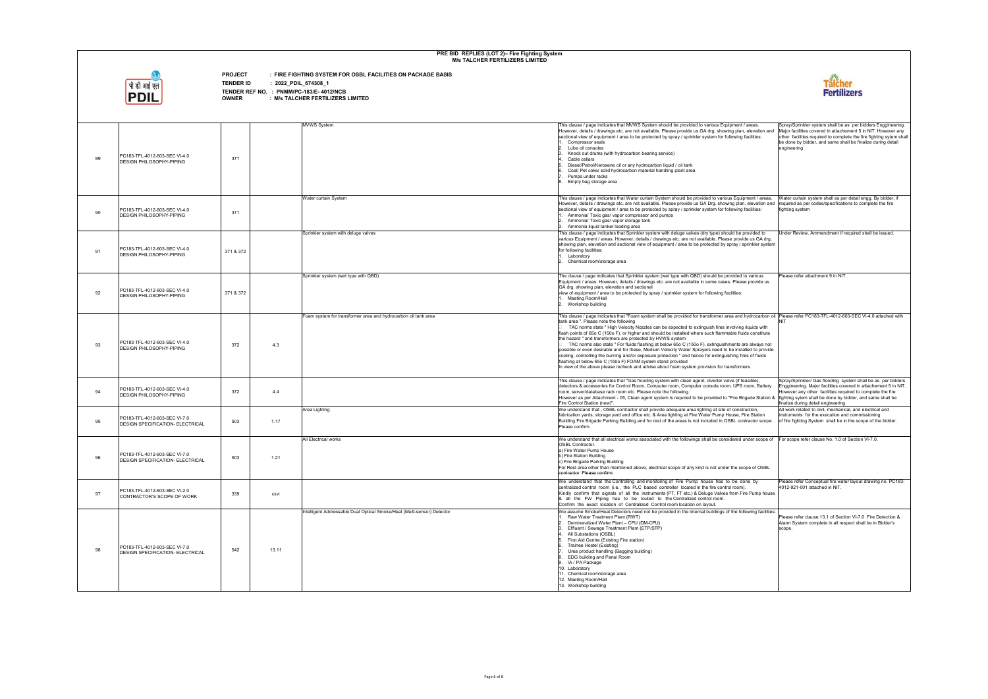

**PROJECT : FIRE FIGHTING SYSTEM FOR OSBL FACILITIES ON PACKAGE BASIS**

**TENDER ID : 2022\_PDIL\_674308\_1**

|                |                                                                          |           | <b>MVWS System</b>                                                               | This clause / page indicates that MVWS System should be provided to various Equipment / areas.<br>However, details / drawings etc. are not available. Please provide us GA drg. showing plan, elevation and                                                                                                                                                                                                                                                                                                                                                                                                                                                                                                                                                                                                                                                                                                                                                                               | Spray/Sprinkler system shall be as per bidders Enggineering<br>Major facilities covered in attachement 5 in NIT. However an                                                                                                                                                                  |
|----------------|--------------------------------------------------------------------------|-----------|----------------------------------------------------------------------------------|-------------------------------------------------------------------------------------------------------------------------------------------------------------------------------------------------------------------------------------------------------------------------------------------------------------------------------------------------------------------------------------------------------------------------------------------------------------------------------------------------------------------------------------------------------------------------------------------------------------------------------------------------------------------------------------------------------------------------------------------------------------------------------------------------------------------------------------------------------------------------------------------------------------------------------------------------------------------------------------------|----------------------------------------------------------------------------------------------------------------------------------------------------------------------------------------------------------------------------------------------------------------------------------------------|
| 89             | PC183-TFL-4012-603-SEC VI-4.0<br>DESIGN PHILOSOPHY-PIPING                | 371       |                                                                                  | sectional view of equipment / area to be protected by spray / sprinkler system for following facilities:<br>Compressor seals<br>Lube oil consoles<br>Knock out drums (with hydrocarbon bearing service)<br>Cable cellars<br>Diesel/Petrol/Kerosene oil or any hydrocarbon liquid / oil tank<br>Coal/ Pet coke/ solid hydrocarbon material handling plant area<br>Pumps under racks<br>Empty bag storage area                                                                                                                                                                                                                                                                                                                                                                                                                                                                                                                                                                              | other facilities required to complete the fire fighting sytem sh<br>be done by bidder, and same shall be finalize during detail<br>engineering                                                                                                                                               |
|                |                                                                          |           |                                                                                  |                                                                                                                                                                                                                                                                                                                                                                                                                                                                                                                                                                                                                                                                                                                                                                                                                                                                                                                                                                                           |                                                                                                                                                                                                                                                                                              |
| 90             | PC183-TFL-4012-603-SEC VI-4.0<br><b>DESIGN PHILOSOPHY-PIPING</b>         | 371       | Water curtain System                                                             | This clause / page indicates that Water curtain System should be provided to various Equipment / areas.<br>However, details / drawings etc. are not available. Please provide us GA Drg. showing plan, elevation and<br>sectional view of equipment / area to be protected by spray / sprinkler system for following facilities:<br>. Ammonia/ Toxic gas/ vapor compressor and pumps<br>2. Ammonia/ Toxic gas/ vapor storage tank<br>3. Ammonia liquid tanker loading area                                                                                                                                                                                                                                                                                                                                                                                                                                                                                                                | Water curtain system shall as per detail engg. By bidder, if<br>required as per codes/specifications to complete the fire<br>fighting system                                                                                                                                                 |
| 91             | PC183-TFL-4012-603-SEC VI-4.0<br><b>DESIGN PHILOSOPHY-PIPING</b>         | 371 & 372 | Sprinkler system with deluge valves                                              | This clause / page indicates that Sprinkler system with deluge valves (dry type) should be provided to<br>various Equipment / areas. However, details / drawings etc. are not available. Please provide us GA drg.<br>showing plan, elevation and sectional view of equipment / area to be protected by spray / sprinkler system<br>for following facilities:<br>1. Laboratory<br>Chemical room/storage area                                                                                                                                                                                                                                                                                                                                                                                                                                                                                                                                                                              | Under Review, Ammendment if required shall be issued.                                                                                                                                                                                                                                        |
| 92             | PC183-TFL-4012-603-SEC VI-4.0<br><b>DESIGN PHILOSOPHY-PIPING</b>         | 371 & 372 | Sprinkler system (wet type with QBD)                                             | The clause / page indicates that Sprinkler system (wet type with QBD) should be provided to various<br>Equipment / areas. However, details / drawings etc. are not available in some cases. Please provide us<br>GA drg. showing plan, elevation and sectional<br>view of equipment / area to be protected by spray / sprinkler system for following facilities:<br>1. Meeting Room/Hall<br>2. Workshop building                                                                                                                                                                                                                                                                                                                                                                                                                                                                                                                                                                          | Please refer attachment 9 in NIT.                                                                                                                                                                                                                                                            |
| 93             | PC183-TFL-4012-603-SEC VI-4.0<br>DESIGN PHILOSOPHY-PIPING                | 372       | Foam system for transformer area and hydrocarbon oil tank area<br>4.3            | This clause / page indicates that "Foam system shall be provided for transformer area and hydrocarbon oil  Please refer PC183-TFL-4012-603-SEC VI-4.0 attached with<br>tank area ". Please note the following<br>TAC norms state "High Velocity Nozzles can be expected to extinguish fires involving liquids with<br>flash points of 65o C (150o F), or higher and should be installed where such flammable fluids constitute<br>the hazard " and transformers are protected by HVWS system<br>TAC norms also state " For fluids flashing at below 65o C (150o F), extinguishments are always not<br>possible or even desirable and for these, Medium Velocity Water Sprayers need to be installed to provide<br>cooling, controlling the burning and/or exposure protection " and hence for extinguishing fires of fluids<br>flashing at below 65o C (150o F) FOAM system stand provided<br>In view of the above please recheck and advise about foam system provision for transformers | NIT                                                                                                                                                                                                                                                                                          |
| 94             | PC183-TFL-4012-603-SEC VI-4.0<br><b>DESIGN PHILOSOPHY-PIPING</b>         | 372       | 4.4                                                                              | This clause / page indicates that "Gas flooding system with clean agent, diverter valve (if feasible),<br>detectors & accessories for Control Room, Computer room, Computer console room, UPS room, Battery<br>room, server/database rack room etc. Please note the following.<br>However as per Attachment - 05, Clean agent system is required to be provided to "Fire Brigade Station &<br>Fire Control Station (new)"                                                                                                                                                                                                                                                                                                                                                                                                                                                                                                                                                                 | Spray/Sprinkler/ Gas flooding system shall be as per bidde<br>Enggineering. Major facilities covered in attachement 5 in NI<br>However any other facilities required to complete the fire<br>fighting sytem shall be done by bidder, and same shall be<br>finalize during detail engineering |
| 95             | PC183-TFL-4012-603-SEC VI-7.0<br><b>DESIGN SPECIFICATION- ELECTRICAL</b> | 503       | Area Lighting<br>1.17                                                            | We understand that, OSBL contractor shall provide adequate area lighting at site of construction,<br>fabrication yards, storage yard and office etc. & Area lighting at Fire Water Pump House, Fire Station<br>Building Fire Brigade Parking Building and for rest of the areas is not included in OSBL contractor scope.<br>Please confirm.                                                                                                                                                                                                                                                                                                                                                                                                                                                                                                                                                                                                                                              | All work related to civil, mechanical, and electrical and<br>instruments for the execution and commissioning<br>of fire fighting System shall be in the scope of the bidder.                                                                                                                 |
| 96             | PC183-TFL-4012-603-SEC VI-7.0<br><b>DESIGN SPECIFICATION- ELECTRICAL</b> | 503       | <b>All Electrical works</b><br>1.21                                              | We understand that all electrical works associated with the followings shall be considered under scope of For scope refer clause No. 1.0 of Section VI-7.0.<br><b>OSBL Contractor.</b><br>a) Fire Water Pump House<br>b) Fire Station Building<br>c) Fire Brigade Parking Building<br>For Rest area other than mentioned above, electrical scope of any kind is not under the scope of OSBL<br>contractor. Please confirm.                                                                                                                                                                                                                                                                                                                                                                                                                                                                                                                                                                |                                                                                                                                                                                                                                                                                              |
| Q <sub>7</sub> | PC183-TFL-4012-603-SEC VI-2.0<br>CONTRACTOR'S SCOPE OF WORK              | 339       | xxvi                                                                             | We understand that the Controlling and monitoring of Fire Pump house has to be done by<br>centralized control room (i.e., the PLC based controller located in the fire control room).<br>Kindly confirm that signals of all the instruments (PT, FT etc.) & Deluge Valves from Fire Pump house<br>& all the FW Piping has to be routed to the Centralized control room.<br>Confirm the exact location of Centralized Control room location on lavout.                                                                                                                                                                                                                                                                                                                                                                                                                                                                                                                                     | Please refer Conceptual fire water lavout drawing no. PC183<br>4012-921-001 attached in NIT.                                                                                                                                                                                                 |
| 98             | PC183-TFL-4012-603-SEC VI-7.0<br><b>DESIGN SPECIFICATION- ELECTRICAL</b> | 542       | Intelligent Addressable Dual Optical Smoke/Heat (Multi-sensor) Detector<br>13.11 | We assume Smoke/Heat Detectors need not be provided in the internal buildings of the following facilities:<br>Raw Water Treatment Plant (RWT)<br>Demineralized Water Plant - CPU (DM-CPU)<br>Effluent / Sewage Treatment Plant (ETP/STP)<br>All Substations (OSBL)<br>First Aid Centre (Existing Fire station)<br>Trainee Hostel (Existing)<br>Urea product handling (Bagging building)<br>8. EDG building and Panel Room<br>9. IA / PA Package<br>10. Laboratory<br>11. Chemical room/storage area<br>12. Meeting Room/Hall<br>13. Workshop building                                                                                                                                                                                                                                                                                                                                                                                                                                     | Please refer clause 13.1 of Section VI-7.0. Fire Detection &<br>Alarm System complete in all respect shall be in Bidder's<br>scope.                                                                                                                                                          |

| areas.<br>elevation and<br>icilities:                                                              | Spray/Sprinkler system shall be as per bidders Enggineering.<br>Major facilities covered in attachement 5 in NIT. However any<br>other facilities required to complete the fire fighting sytem shall<br>be done by bidder, and same shall be finalize during detail<br>engineering |
|----------------------------------------------------------------------------------------------------|------------------------------------------------------------------------------------------------------------------------------------------------------------------------------------------------------------------------------------------------------------------------------------|
| nent / areas.<br>elevation and<br>cilities:                                                        | Water curtain system shall as per detail engg. By bidder, if<br>required as per codes/specifications to complete the fire<br>fighting system                                                                                                                                       |
| ovided to<br>e us GA drg.<br>rinkler system                                                        | Under Review, Ammendment if required shall be issued.                                                                                                                                                                                                                              |
| various<br>provide us                                                                              | Please refer attachment 9 in NIT.                                                                                                                                                                                                                                                  |
| ydrocarbon oil<br>quids with<br>s constitute<br>e always not<br>ed to provide<br>s of fluids<br>'S | Please refer PC183-TFL-4012-603-SEC VI-4.0 attached with<br>NIT                                                                                                                                                                                                                    |
| sible),<br>om, Battery<br>ade Station &                                                            | Spray/Sprinkler/ Gas flooding system shall be as per bidders<br>Enggineering. Major facilities covered in attachement 5 in NIT.<br>However any other facilities required to complete the fire<br>fighting sytem shall be done by bidder, and same shall be                         |
| ction,<br>e Station<br>actor scope.                                                                | finalize during detail engineering<br>All work related to civil, mechanical, and electrical and<br>instruments for the execution and commissioning<br>of fire fighting System shall be in the scope of the bidder.                                                                 |
| ıder scope of<br>e of OSBL                                                                         | For scope refer clause No. 1.0 of Section VI-7.0.                                                                                                                                                                                                                                  |
| e by<br>Pump house                                                                                 | Please refer Conceptual fire water layout drawing no. PC183-<br>4012-921-001 attached in NIT.                                                                                                                                                                                      |
| wing facilities:                                                                                   | Please refer clause 13.1 of Section VI-7.0. Fire Detection &<br>Alarm System complete in all respect shall be in Bidder's<br>scope.                                                                                                                                                |

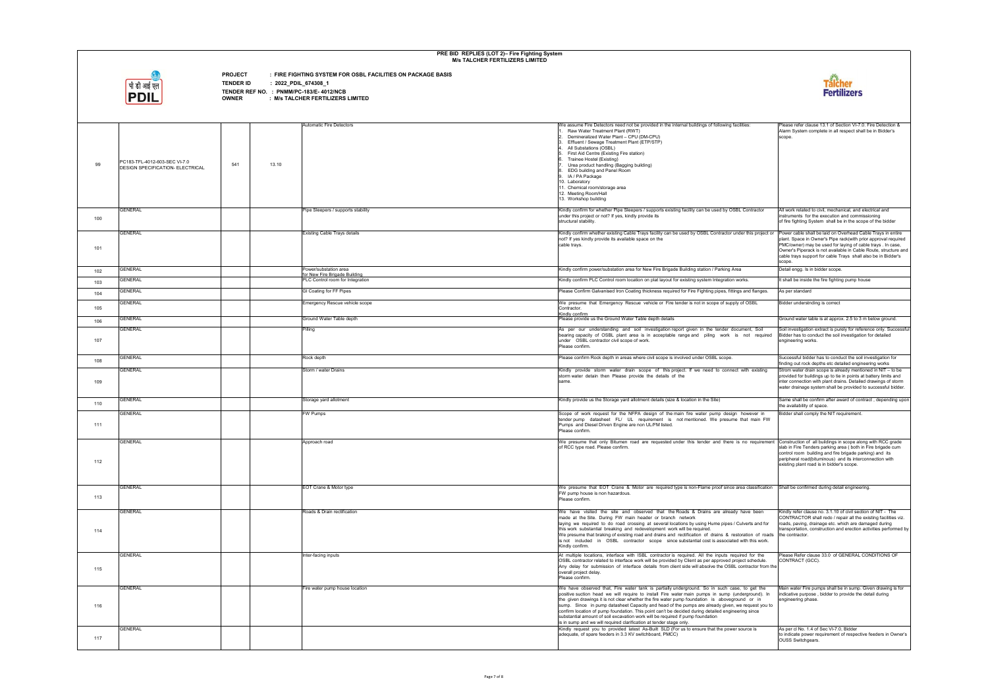

**PROJECT : FIRE FIGHTING SYSTEM FOR OSBL FACILITIES ON PACKAGE BASIS**

**TENDER ID : 2022\_PDIL\_674308\_1**

| 99         | PC183-TFL-4012-603-SEC VI-7.0<br><b>DESIGN SPECIFICATION- ELECTRICAL</b> | 541 | 13.10 | <b>Automatic Fire Detectors</b>                                   | We assume Fire Detectors need not be provided in the internal buildings of following facilities:<br>Raw Water Treatment Plant (RWT)<br>Demineralized Water Plant - CPU (DM-CPU)<br>Effluent / Sewage Treatment Plant (ETP/STP)<br>All Substations (OSBL)<br>First Aid Centre (Existing Fire station)<br>Trainee Hostel (Existing)<br>Urea product handling (Bagging building)<br>EDG building and Panel Room<br>IA / PA Package<br>10. Laboratory<br>11. Chemical room/storage area<br>12. Meeting Room/Hall<br>13. Workshop building                                                                                                                                  | Please refer clause 13.1 of Section VI-7.0. Fire Detection &<br>Alarm System complete in all respect shall be in Bidder's<br>scope.                                                                                                                                              |
|------------|--------------------------------------------------------------------------|-----|-------|-------------------------------------------------------------------|------------------------------------------------------------------------------------------------------------------------------------------------------------------------------------------------------------------------------------------------------------------------------------------------------------------------------------------------------------------------------------------------------------------------------------------------------------------------------------------------------------------------------------------------------------------------------------------------------------------------------------------------------------------------|----------------------------------------------------------------------------------------------------------------------------------------------------------------------------------------------------------------------------------------------------------------------------------|
| 100        | <b>GENERAL</b>                                                           |     |       | Pipe Sleepers / supports stability                                | Kindly confirm for whether Pipe Sleepers / supports existing facility can be used by OSBL Contractor<br>under this project or not? If yes, kindly provide its<br>structural stability.                                                                                                                                                                                                                                                                                                                                                                                                                                                                                 | All work related to civil, mechanical, and electrical and<br>instruments for the execution and commissioning<br>of fire fighting System shall be in the scope of the bidder                                                                                                      |
| 101        | <b>GENERAL</b>                                                           |     |       | <b>Existing Cable Trays details</b>                               | Kindly confirm whether existing Cable Trays facility can be used by OSBL Contractor under this project or Power cable shall be laid on Overhead Cable Trays in entire<br>not? If yes kindly provide its available space on the<br>cable trays.                                                                                                                                                                                                                                                                                                                                                                                                                         | plant. Space in Owner's Pipe rack(with prior approval required<br>PMC/owner) may be used for laying of cable trays. In case,<br>Owner's Piperack is not available in Cable Route, structure and<br>cable trays support for cable Trays shall also be in Bidder's<br>scope.       |
| 102        | <b>GENERAL</b>                                                           |     |       | Power/substation area                                             | Kindly confirm power/substation area for New Fire Brigade Building station / Parking Area                                                                                                                                                                                                                                                                                                                                                                                                                                                                                                                                                                              | Detail engg. Is in bidder scope.                                                                                                                                                                                                                                                 |
| 103        | <b>GENERAL</b>                                                           |     |       | for New Fire Brigade Building<br>PLC Control room for Integration | Kindly confirm PLC Control room location on plat layout for existing system Integration works.                                                                                                                                                                                                                                                                                                                                                                                                                                                                                                                                                                         | It shall be inside the fire fighting pump house                                                                                                                                                                                                                                  |
| 104        | <b>GENERAL</b>                                                           |     |       | GI Coating for FF Pipes                                           | Please Confirm Galvanised Iron Coating thickness required for Fire Fighting pipes, fittings and flanges.                                                                                                                                                                                                                                                                                                                                                                                                                                                                                                                                                               | As per standard                                                                                                                                                                                                                                                                  |
|            | <b>GENERAL</b>                                                           |     |       | Emergency Rescue vehicle scope                                    | We presume that Emergency Rescue vehicle or Fire tender is not in scope of supply of OSBL                                                                                                                                                                                                                                                                                                                                                                                                                                                                                                                                                                              | Bidder understnding is correct                                                                                                                                                                                                                                                   |
| 105<br>106 | <b>GENERAL</b>                                                           |     |       | Ground Water Table depth                                          | Contractor.<br>Kindly confirm<br>Please provide us the Ground Water Table depth details                                                                                                                                                                                                                                                                                                                                                                                                                                                                                                                                                                                | Ground water table is at approx. 2.5 to 3 m below ground.                                                                                                                                                                                                                        |
| 107        | <b>GENERAL</b>                                                           |     |       | Pilling                                                           | As per our understanding and soil investigation report given in the tender document, Soil<br>bearing capacity of OSBL plant area is in acceptable range and piling work is not required<br>under OSBL contractor civil scope of work.<br>Please confirm.                                                                                                                                                                                                                                                                                                                                                                                                               | Soil investigation extract is purely for reference only. Successful<br>Bidder has to conduct the soil investigation for detailed<br>engineering works.                                                                                                                           |
| 108        | <b>GENERAL</b>                                                           |     |       | Rock depth                                                        | Please confirm Rock depth in areas where civil scope is involved under OSBL scope.                                                                                                                                                                                                                                                                                                                                                                                                                                                                                                                                                                                     | Successful bidder has to conduct the soil investigation for<br>finding out rock depths etc detailed engineering works                                                                                                                                                            |
| 109        | <b>GENERAL</b>                                                           |     |       | Storm / water Drains                                              | Kindly provide storm water drain scope of this project. If we need to connect with existing<br>storm water detain then Please provide the details of the<br>same.                                                                                                                                                                                                                                                                                                                                                                                                                                                                                                      | Strom water drain scope is already mentioned in NIT - to be<br>provided for buildings up to tie in points at battery limits and<br>inter connection with plant drains. Detailed drawings of storm<br>water drainage system shall be provided to successful bidder.               |
| 110        | <b>GENERAL</b>                                                           |     |       | Storage yard allotment                                            | Kindly provide us the Storage yard allotment details (size & location in the Site)                                                                                                                                                                                                                                                                                                                                                                                                                                                                                                                                                                                     | Same shall be confirm after award of contract, depending upon<br>the availability of space.                                                                                                                                                                                      |
| 111        | <b>GENERAL</b>                                                           |     |       | <b>FW Pumps</b>                                                   | Scope of work request for the NFPA design of the main fire water pump design however in<br>tender pump datasheet FL/ UL requirement is not mentioned. We presume that main FW<br>Pumps and Diesel Driven Engine are non UL/FM listed.<br>Please confirm.                                                                                                                                                                                                                                                                                                                                                                                                               | Bidder shall comply the NIT requirement.                                                                                                                                                                                                                                         |
| 112        | <b>GENERAL</b>                                                           |     |       | Approach road                                                     | We presume that only Bitumen road are requested under this tender and there is no requirement Construction of all buildings in scope along with RCC grade<br>of RCC type road. Please confirm.                                                                                                                                                                                                                                                                                                                                                                                                                                                                         | slab in Fire Tenders parking area (both in Fire brigade cum<br>control room building and fire brigade parking) and its<br>peripheral road(bituminous) and its interconnection with<br>existing plant road is in bidder's scope.                                                  |
| 113        | <b>GENERAL</b>                                                           |     |       | EOT Crane & Motor type                                            | We presume that EOT Crane & Motor are required type is non-Flame proof since area classification Shall be confirmed during detail engineering.<br>FW pump house is non hazardous.<br>Please confirm.                                                                                                                                                                                                                                                                                                                                                                                                                                                                   |                                                                                                                                                                                                                                                                                  |
| 114        | <b>GENERAL</b>                                                           |     |       | Roads & Drain rectification                                       | We have visited the site and observed that the Roads & Drains are already have been<br>made at the Site. During FW main header or branch network<br>laying we required to do road crossing at several locations by using Hume pipes / Culverts and for<br>this work substantial breaking and redevelopment work will be required.<br>We presume that braking of existing road and drains and rectification of drains & restoration of roads<br>is not included in OSBL contractor scope since substantial cost is associated with this work.<br>Kindly confirm.                                                                                                        | Kindly refer clause no. 3.1.10 of civil section of NIT - The<br>CONTRACTOR shall redo / repair all the existing facilities viz.<br>roads, paving, drainage etc. which are damaged during<br>transportation, construction and erection activities performed by<br>the contractor. |
| 115        | <b>GENERAL</b>                                                           |     |       | Inter-facing inputs                                               | At multiple locations, interface with ISBL contractor is required. All the inputs required for the<br>OSBL contractor related to interface work will be provided by Client as per approved project schedule.<br>Any delay for submission of interface details from client side will absolve the OSBL contractor from the<br>overall project delay.<br>Please confirm.                                                                                                                                                                                                                                                                                                  | Please Refer clause 33.0 of GENERAL CONDITIONS OF<br>CONTRACT (GCC).                                                                                                                                                                                                             |
| 116        | <b>GENERAL</b>                                                           |     |       | Fire water pump house location                                    | We have observed that, Fire water tank is partially underground. So in such case, to get the<br>positive suction head we will require to install Fire water main pumps in sump (underground). In<br>the given drawings it is not clear whether the fire water pump foundation is aboveground or in<br>sump. Since in pump datasheet Capacity and head of the pumps are already given, we request you to<br>confirm location of pump foundation. This point can't be decided during detailed engineering since<br>substantial amount of soil excavation work will be required if pump foundation<br>is in sump and we will required clarification at tender stage only. | Main water Fire pumps shall be in sump. Given drawing is for<br>indicative purpose, bidder to provide the detail during<br>engineering phase.                                                                                                                                    |
| 117        | <b>GENERAL</b>                                                           |     |       |                                                                   | Kindly request you to provided latest As-Built SLD (For us to ensure that the power source is<br>adequate, of spare feeders in 3.3 KV switchboard, PMCC)                                                                                                                                                                                                                                                                                                                                                                                                                                                                                                               | As per cl No. 1.4 of Sec VI-7.0, Bidder<br>to indicate power requirement of respective feeders in Owner's<br><b>OUSS Switchgears.</b>                                                                                                                                            |
|            |                                                                          |     |       |                                                                   |                                                                                                                                                                                                                                                                                                                                                                                                                                                                                                                                                                                                                                                                        |                                                                                                                                                                                                                                                                                  |

| s:                                                          | Please refer clause 13.1 of Section VI-7.0. Fire Detection &<br>Alarm System complete in all respect shall be in Bidder's<br>scope.                                                                                                                                                            |
|-------------------------------------------------------------|------------------------------------------------------------------------------------------------------------------------------------------------------------------------------------------------------------------------------------------------------------------------------------------------|
| ontractor                                                   | All work related to civil, mechanical, and electrical and<br>instruments for the execution and commissioning<br>of fire fighting System shall be in the scope of the bidder                                                                                                                    |
| this project or                                             | Power cable shall be laid on Overhead Cable Trays in entire                                                                                                                                                                                                                                    |
|                                                             | plant. Space in Owner's Pipe rack(with prior approval required<br>PMC/owner) may be used for laying of cable trays . In case,<br>Owner's Piperack is not available in Cable Route, structure and<br>cable trays support for cable Trays shall also be in Bidder's<br>scope.                    |
|                                                             | Detail engg. Is in bidder scope.                                                                                                                                                                                                                                                               |
|                                                             | It shall be inside the fire fighting pump house                                                                                                                                                                                                                                                |
| nd flanges.                                                 | As per standard                                                                                                                                                                                                                                                                                |
| DSBL                                                        | Bidder understnding is correct                                                                                                                                                                                                                                                                 |
|                                                             | Ground water table is at approx. 2.5 to 3 m below ground.                                                                                                                                                                                                                                      |
| nt, Soil<br>эt<br>required                                  | Soil investigation extract is purely for reference only. Successful<br>Bidder has to conduct the soil investigation for detailed<br>engineering works.                                                                                                                                         |
|                                                             | Successful bidder has to conduct the soil investigation for<br>finding out rock depths etc detailed engineering works                                                                                                                                                                          |
| h existing                                                  | Strom water drain scope is already mentioned in NIT - to be<br>provided for buildings up to tie in points at battery limits and<br>inter connection with plant drains. Detailed drawings of storm<br>water drainage system shall be provided to successful bidder.                             |
|                                                             | Same shall be confirm after award of contract, depending upon<br>the availability of space.                                                                                                                                                                                                    |
| wever in<br>t main FW                                       | Bidder shall comply the NIT requirement.                                                                                                                                                                                                                                                       |
| requirement                                                 | Construction of all buildings in scope along with RCC grade<br>slab in Fire Tenders parking area (both in Fire brigade cum<br>control room building and fire brigade parking) and its<br>peripheral road(bituminous) and its interconnection with<br>existing plant road is in bidder's scope. |
| classification                                              | Shall be confirmed during detail engineering.                                                                                                                                                                                                                                                  |
| e been                                                      | Kindly refer clause no. 3.1.10 of civil section of NIT - The<br>CONTRACTOR shall redo / repair all the existing facilities viz.                                                                                                                                                                |
| erts and for                                                | roads, paving, drainage etc. which are damaged during<br>transportation, construction and erection activities performed by                                                                                                                                                                     |
| ion of roads<br>this work.                                  | the contractor.                                                                                                                                                                                                                                                                                |
| for the                                                     | Please Refer clause 33.0 of GENERAL CONDITIONS OF                                                                                                                                                                                                                                              |
| schedule.<br>ractor from the                                | CONTRACT (GCC).                                                                                                                                                                                                                                                                                |
| get the<br>ground). In<br>or<br>in<br>quest you to<br>since | Main water Fire pumps shall be in sump. Given drawing is for<br>indicative purpose, bidder to provide the detail during<br>engineering phase.                                                                                                                                                  |
| ce is                                                       | As per cl No. 1.4 of Sec VI-7.0, Bidder                                                                                                                                                                                                                                                        |
|                                                             | to indicate power requirement of respective feeders in Owner's<br>OUSS Switchgears.                                                                                                                                                                                                            |